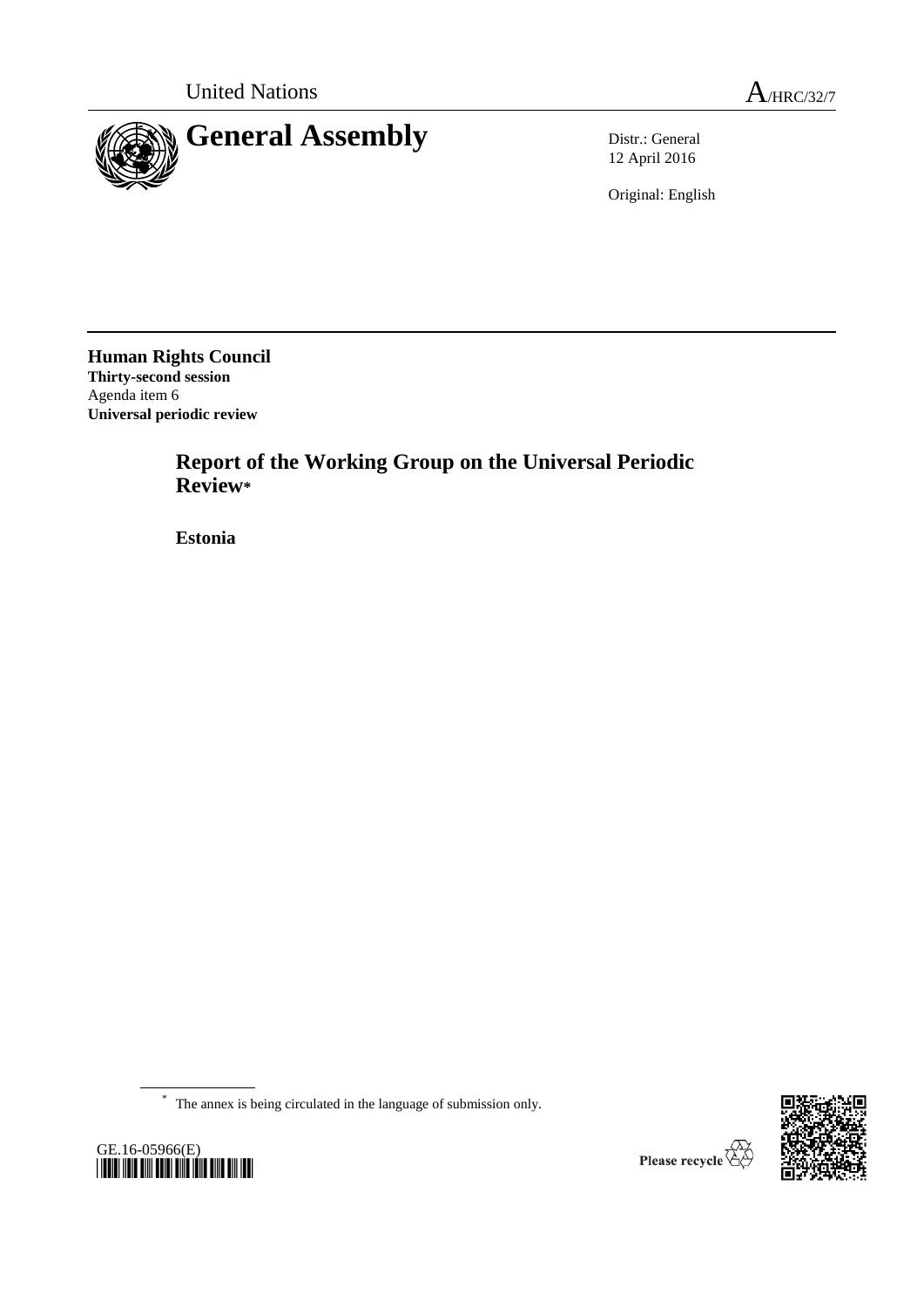

12 April 2016

Original: English

**Human Rights Council Thirty-second session** Agenda item 6 **Universal periodic review**

> **Report of the Working Group on the Universal Periodic Review\***

**Estonia**

\* The annex is being circulated in the language of submission only.



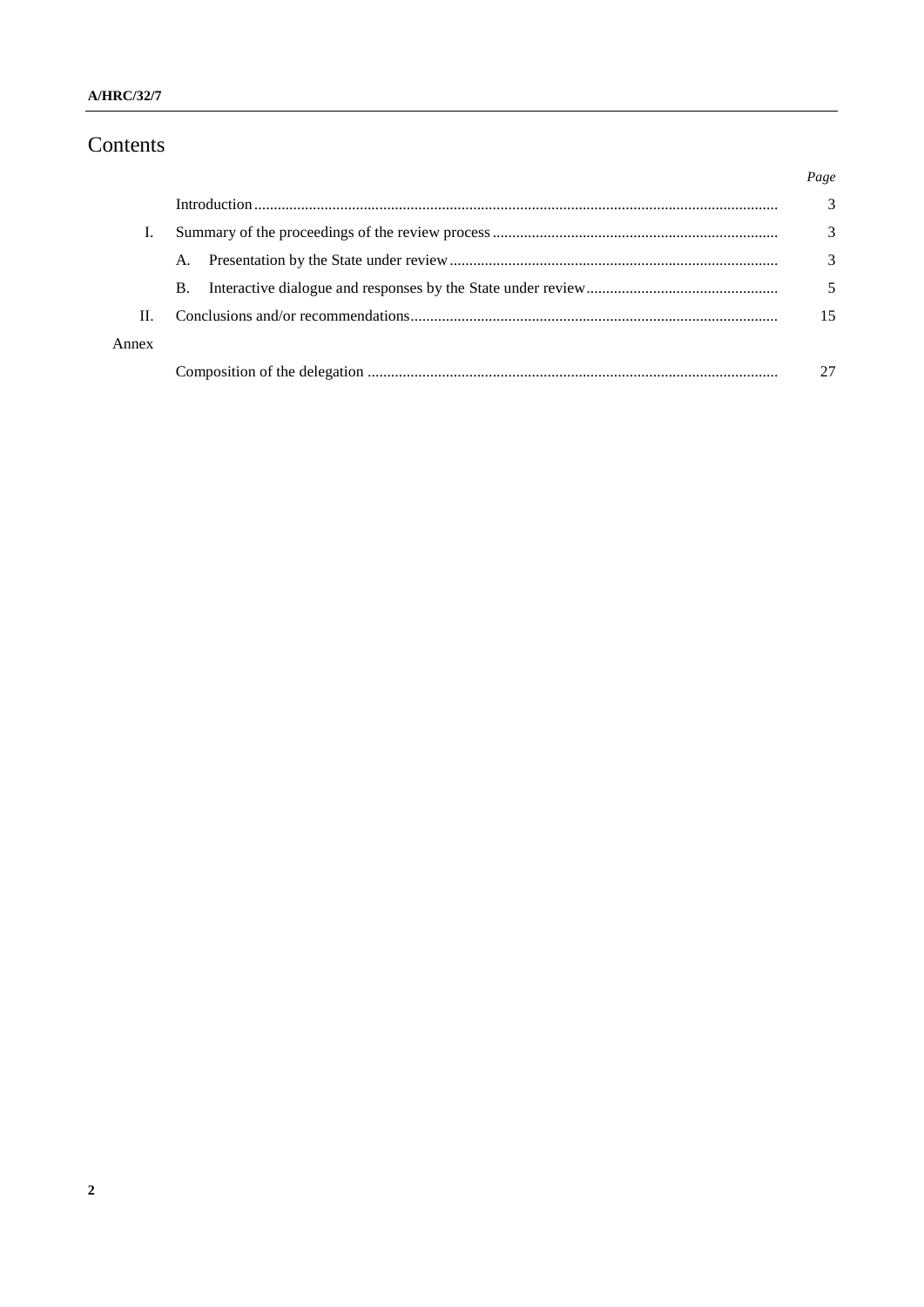# Contents

|       |           | Page |
|-------|-----------|------|
|       |           | 3    |
|       |           | 3    |
|       | A.        | 3    |
|       | <b>B.</b> |      |
| Π.    |           | 15   |
| Annex |           |      |
|       |           |      |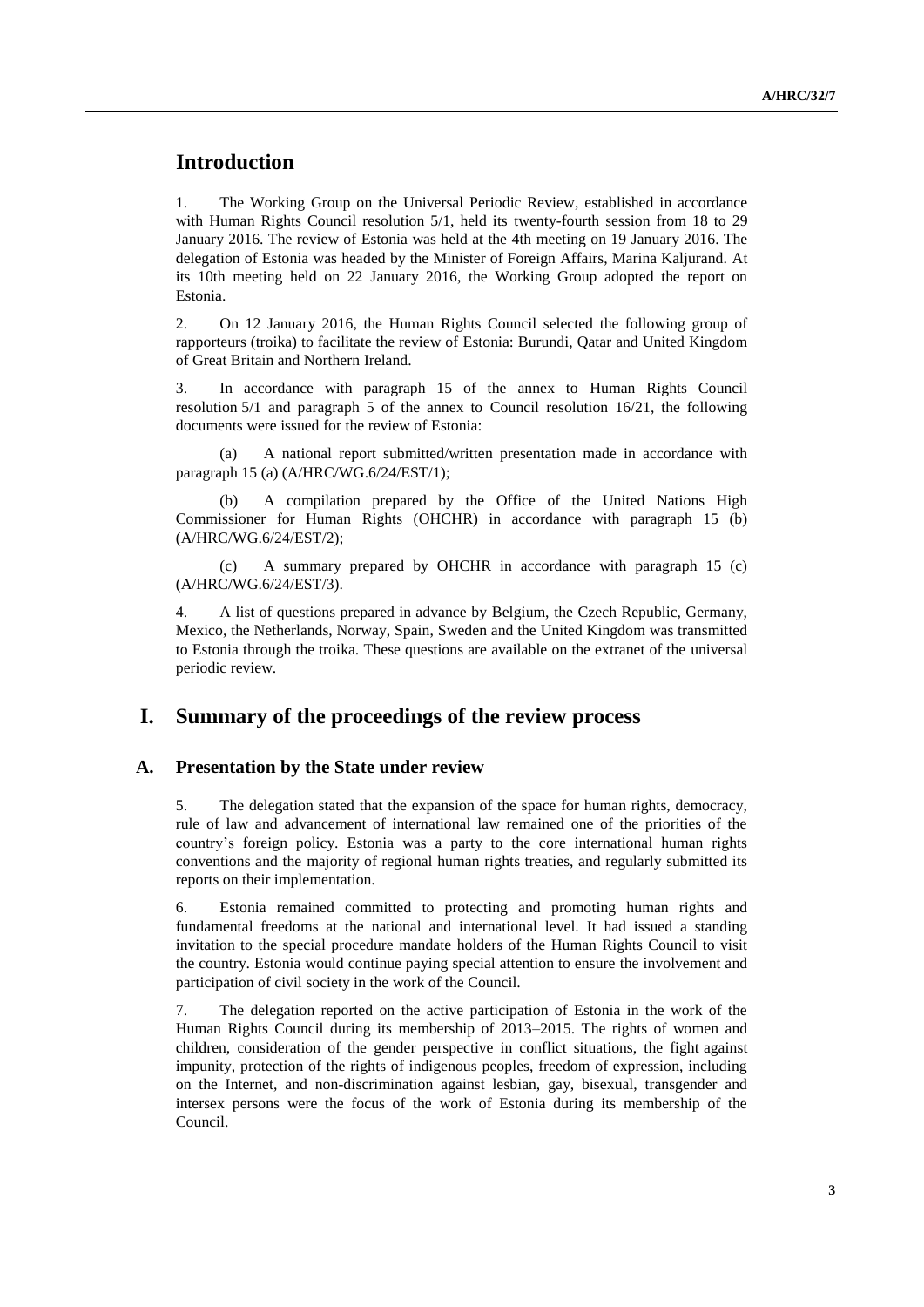# **Introduction**

1. The Working Group on the Universal Periodic Review, established in accordance with Human Rights Council resolution 5/1, held its twenty-fourth session from 18 to 29 January 2016. The review of Estonia was held at the 4th meeting on 19 January 2016. The delegation of Estonia was headed by the Minister of Foreign Affairs, Marina Kaljurand. At its 10th meeting held on 22 January 2016, the Working Group adopted the report on Estonia.

2. On 12 January 2016, the Human Rights Council selected the following group of rapporteurs (troika) to facilitate the review of Estonia: Burundi, Qatar and United Kingdom of Great Britain and Northern Ireland.

3. In accordance with paragraph 15 of the annex to Human Rights Council resolution 5/1 and paragraph 5 of the annex to Council resolution 16/21, the following documents were issued for the review of Estonia:

(a) A national report submitted/written presentation made in accordance with paragraph 15 (a) (A/HRC/WG.6/24/EST/1);

(b) A compilation prepared by the Office of the United Nations High Commissioner for Human Rights (OHCHR) in accordance with paragraph 15 (b) (A/HRC/WG.6/24/EST/2);

(c) A summary prepared by OHCHR in accordance with paragraph 15 (c) (A/HRC/WG.6/24/EST/3).

4. A list of questions prepared in advance by Belgium, the Czech Republic, Germany, Mexico, the Netherlands, Norway, Spain, Sweden and the United Kingdom was transmitted to Estonia through the troika. These questions are available on the extranet of the universal periodic review.

### **I. Summary of the proceedings of the review process**

#### **A. Presentation by the State under review**

5. The delegation stated that the expansion of the space for human rights, democracy, rule of law and advancement of international law remained one of the priorities of the country's foreign policy. Estonia was a party to the core international human rights conventions and the majority of regional human rights treaties, and regularly submitted its reports on their implementation.

6. Estonia remained committed to protecting and promoting human rights and fundamental freedoms at the national and international level. It had issued a standing invitation to the special procedure mandate holders of the Human Rights Council to visit the country. Estonia would continue paying special attention to ensure the involvement and participation of civil society in the work of the Council.

7. The delegation reported on the active participation of Estonia in the work of the Human Rights Council during its membership of 2013–2015. The rights of women and children, consideration of the gender perspective in conflict situations, the fight against impunity, protection of the rights of indigenous peoples, freedom of expression, including on the Internet, and non-discrimination against lesbian, gay, bisexual, transgender and intersex persons were the focus of the work of Estonia during its membership of the Council.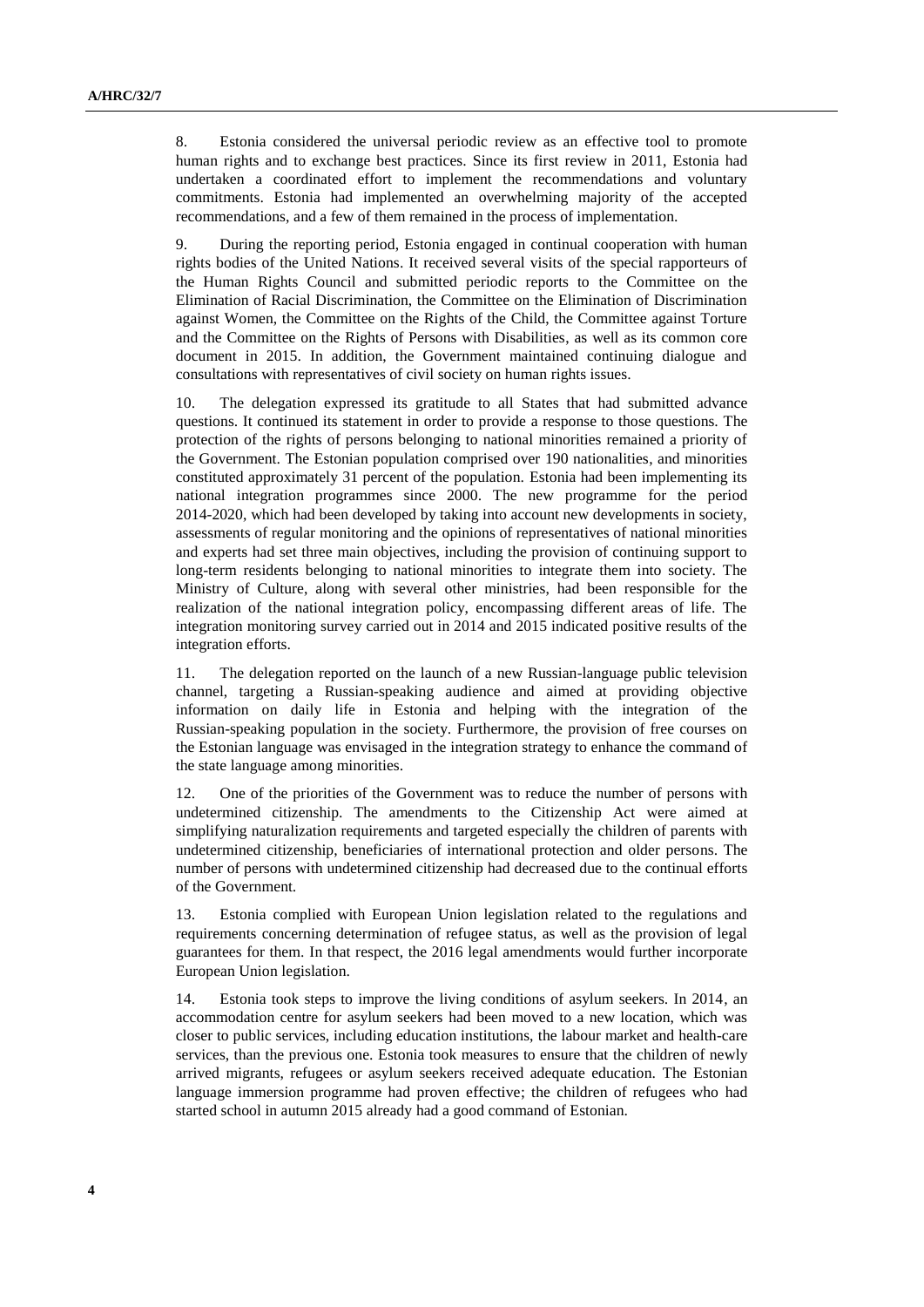8. Estonia considered the universal periodic review as an effective tool to promote human rights and to exchange best practices. Since its first review in 2011, Estonia had undertaken a coordinated effort to implement the recommendations and voluntary commitments. Estonia had implemented an overwhelming majority of the accepted recommendations, and a few of them remained in the process of implementation.

9. During the reporting period, Estonia engaged in continual cooperation with human rights bodies of the United Nations. It received several visits of the special rapporteurs of the Human Rights Council and submitted periodic reports to the Committee on the Elimination of Racial Discrimination, the Committee on the Elimination of Discrimination against Women, the Committee on the Rights of the Child, the Committee against Torture and the Committee on the Rights of Persons with Disabilities, as well as its common core document in 2015. In addition, the Government maintained continuing dialogue and consultations with representatives of civil society on human rights issues.

10. The delegation expressed its gratitude to all States that had submitted advance questions. It continued its statement in order to provide a response to those questions. The protection of the rights of persons belonging to national minorities remained a priority of the Government. The Estonian population comprised over 190 nationalities, and minorities constituted approximately 31 percent of the population. Estonia had been implementing its national integration programmes since 2000. The new programme for the period 2014-2020, which had been developed by taking into account new developments in society, assessments of regular monitoring and the opinions of representatives of national minorities and experts had set three main objectives, including the provision of continuing support to long-term residents belonging to national minorities to integrate them into society. The Ministry of Culture, along with several other ministries, had been responsible for the realization of the national integration policy, encompassing different areas of life. The integration monitoring survey carried out in 2014 and 2015 indicated positive results of the integration efforts.

11. The delegation reported on the launch of a new Russian-language public television channel, targeting a Russian-speaking audience and aimed at providing objective information on daily life in Estonia and helping with the integration of the Russian-speaking population in the society. Furthermore, the provision of free courses on the Estonian language was envisaged in the integration strategy to enhance the command of the state language among minorities.

12. One of the priorities of the Government was to reduce the number of persons with undetermined citizenship. The amendments to the Citizenship Act were aimed at simplifying naturalization requirements and targeted especially the children of parents with undetermined citizenship, beneficiaries of international protection and older persons. The number of persons with undetermined citizenship had decreased due to the continual efforts of the Government.

13. Estonia complied with European Union legislation related to the regulations and requirements concerning determination of refugee status, as well as the provision of legal guarantees for them. In that respect, the 2016 legal amendments would further incorporate European Union legislation.

14. Estonia took steps to improve the living conditions of asylum seekers. In 2014, an accommodation centre for asylum seekers had been moved to a new location, which was closer to public services, including education institutions, the labour market and health-care services, than the previous one. Estonia took measures to ensure that the children of newly arrived migrants, refugees or asylum seekers received adequate education. The Estonian language immersion programme had proven effective; the children of refugees who had started school in autumn 2015 already had a good command of Estonian.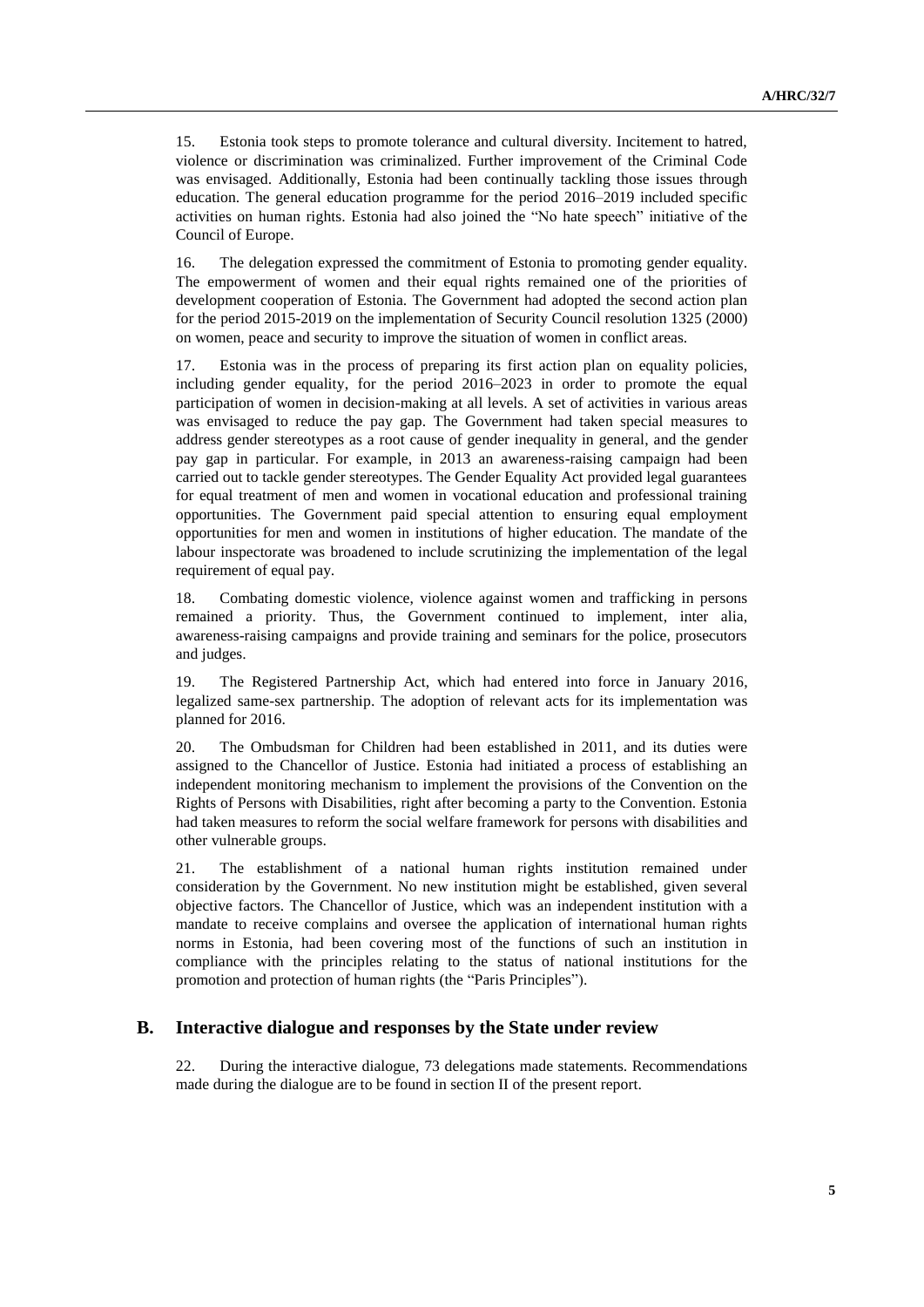15. Estonia took steps to promote tolerance and cultural diversity. Incitement to hatred, violence or discrimination was criminalized. Further improvement of the Criminal Code was envisaged. Additionally, Estonia had been continually tackling those issues through education. The general education programme for the period 2016–2019 included specific activities on human rights. Estonia had also joined the "No hate speech" initiative of the Council of Europe.

16. The delegation expressed the commitment of Estonia to promoting gender equality. The empowerment of women and their equal rights remained one of the priorities of development cooperation of Estonia. The Government had adopted the second action plan for the period 2015-2019 on the implementation of Security Council resolution 1325 (2000) on women, peace and security to improve the situation of women in conflict areas.

17. Estonia was in the process of preparing its first action plan on equality policies, including gender equality, for the period 2016–2023 in order to promote the equal participation of women in decision-making at all levels. A set of activities in various areas was envisaged to reduce the pay gap. The Government had taken special measures to address gender stereotypes as a root cause of gender inequality in general, and the gender pay gap in particular. For example, in 2013 an awareness-raising campaign had been carried out to tackle gender stereotypes. The Gender Equality Act provided legal guarantees for equal treatment of men and women in vocational education and professional training opportunities. The Government paid special attention to ensuring equal employment opportunities for men and women in institutions of higher education. The mandate of the labour inspectorate was broadened to include scrutinizing the implementation of the legal requirement of equal pay.

18. Combating domestic violence, violence against women and trafficking in persons remained a priority. Thus, the Government continued to implement, inter alia, awareness-raising campaigns and provide training and seminars for the police, prosecutors and judges.

19. The Registered Partnership Act, which had entered into force in January 2016, legalized same-sex partnership. The adoption of relevant acts for its implementation was planned for 2016.

20. The Ombudsman for Children had been established in 2011, and its duties were assigned to the Chancellor of Justice. Estonia had initiated a process of establishing an independent monitoring mechanism to implement the provisions of the Convention on the Rights of Persons with Disabilities, right after becoming a party to the Convention. Estonia had taken measures to reform the social welfare framework for persons with disabilities and other vulnerable groups.

21. The establishment of a national human rights institution remained under consideration by the Government. No new institution might be established, given several objective factors. The Chancellor of Justice, which was an independent institution with a mandate to receive complains and oversee the application of international human rights norms in Estonia, had been covering most of the functions of such an institution in compliance with the principles relating to the status of national institutions for the promotion and protection of human rights (the "Paris Principles").

### **B. Interactive dialogue and responses by the State under review**

22. During the interactive dialogue, 73 delegations made statements. Recommendations made during the dialogue are to be found in section II of the present report.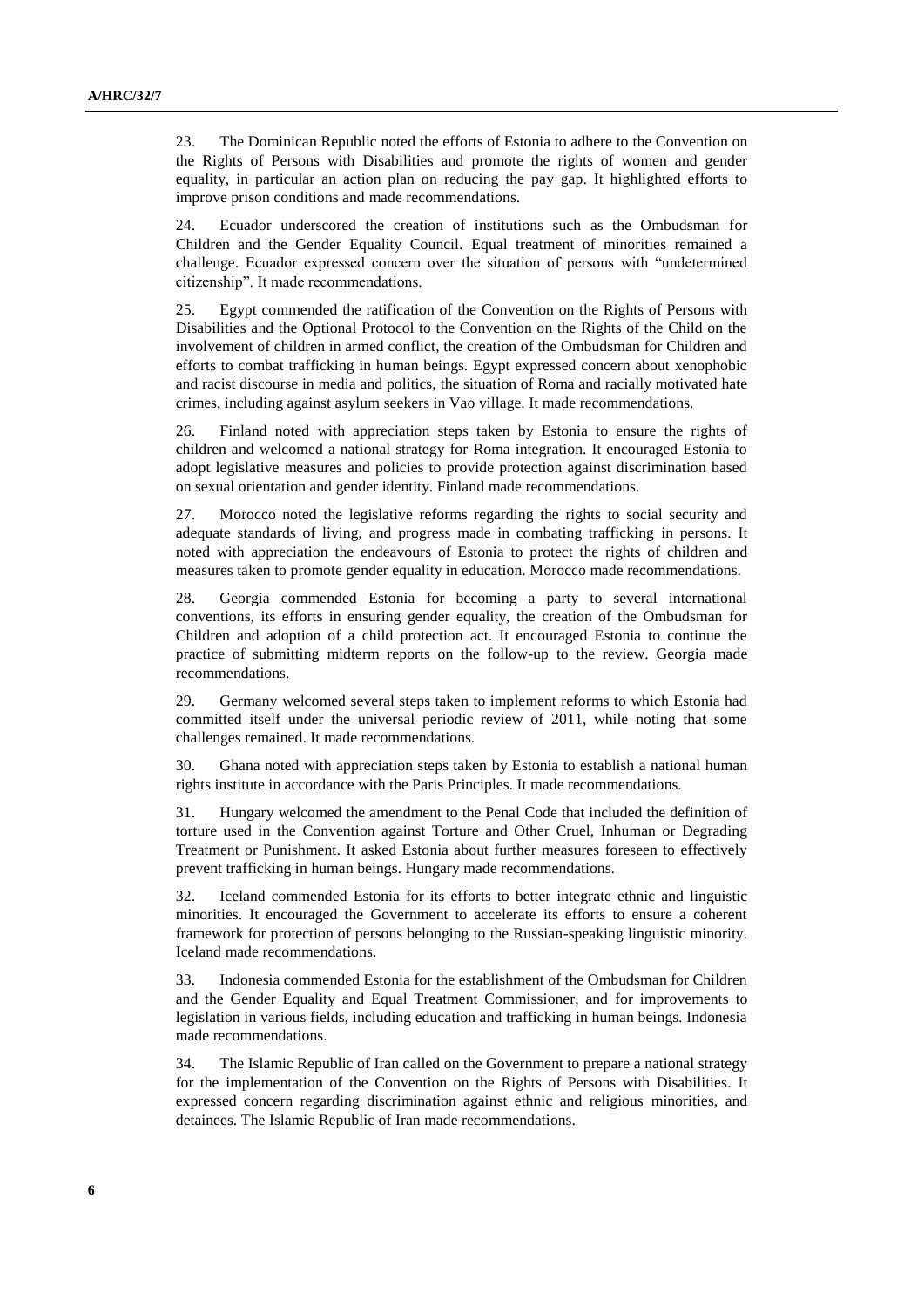23. The Dominican Republic noted the efforts of Estonia to adhere to the Convention on the Rights of Persons with Disabilities and promote the rights of women and gender equality, in particular an action plan on reducing the pay gap. It highlighted efforts to improve prison conditions and made recommendations.

24. Ecuador underscored the creation of institutions such as the Ombudsman for Children and the Gender Equality Council. Equal treatment of minorities remained a challenge. Ecuador expressed concern over the situation of persons with "undetermined citizenship". It made recommendations.

25. Egypt commended the ratification of the Convention on the Rights of Persons with Disabilities and the Optional Protocol to the Convention on the Rights of the Child on the involvement of children in armed conflict, the creation of the Ombudsman for Children and efforts to combat trafficking in human beings. Egypt expressed concern about xenophobic and racist discourse in media and politics, the situation of Roma and racially motivated hate crimes, including against asylum seekers in Vao village. It made recommendations.

26. Finland noted with appreciation steps taken by Estonia to ensure the rights of children and welcomed a national strategy for Roma integration. It encouraged Estonia to adopt legislative measures and policies to provide protection against discrimination based on sexual orientation and gender identity. Finland made recommendations.

27. Morocco noted the legislative reforms regarding the rights to social security and adequate standards of living, and progress made in combating trafficking in persons. It noted with appreciation the endeavours of Estonia to protect the rights of children and measures taken to promote gender equality in education. Morocco made recommendations.

28. Georgia commended Estonia for becoming a party to several international conventions, its efforts in ensuring gender equality, the creation of the Ombudsman for Children and adoption of a child protection act. It encouraged Estonia to continue the practice of submitting midterm reports on the follow-up to the review. Georgia made recommendations.

29. Germany welcomed several steps taken to implement reforms to which Estonia had committed itself under the universal periodic review of 2011, while noting that some challenges remained. It made recommendations.

30. Ghana noted with appreciation steps taken by Estonia to establish a national human rights institute in accordance with the Paris Principles. It made recommendations.

31. Hungary welcomed the amendment to the Penal Code that included the definition of torture used in the Convention against Torture and Other Cruel, Inhuman or Degrading Treatment or Punishment. It asked Estonia about further measures foreseen to effectively prevent trafficking in human beings. Hungary made recommendations.

32. Iceland commended Estonia for its efforts to better integrate ethnic and linguistic minorities. It encouraged the Government to accelerate its efforts to ensure a coherent framework for protection of persons belonging to the Russian-speaking linguistic minority. Iceland made recommendations.

33. Indonesia commended Estonia for the establishment of the Ombudsman for Children and the Gender Equality and Equal Treatment Commissioner, and for improvements to legislation in various fields, including education and trafficking in human beings. Indonesia made recommendations.

34. The Islamic Republic of Iran called on the Government to prepare a national strategy for the implementation of the Convention on the Rights of Persons with Disabilities. It expressed concern regarding discrimination against ethnic and religious minorities, and detainees. The Islamic Republic of Iran made recommendations.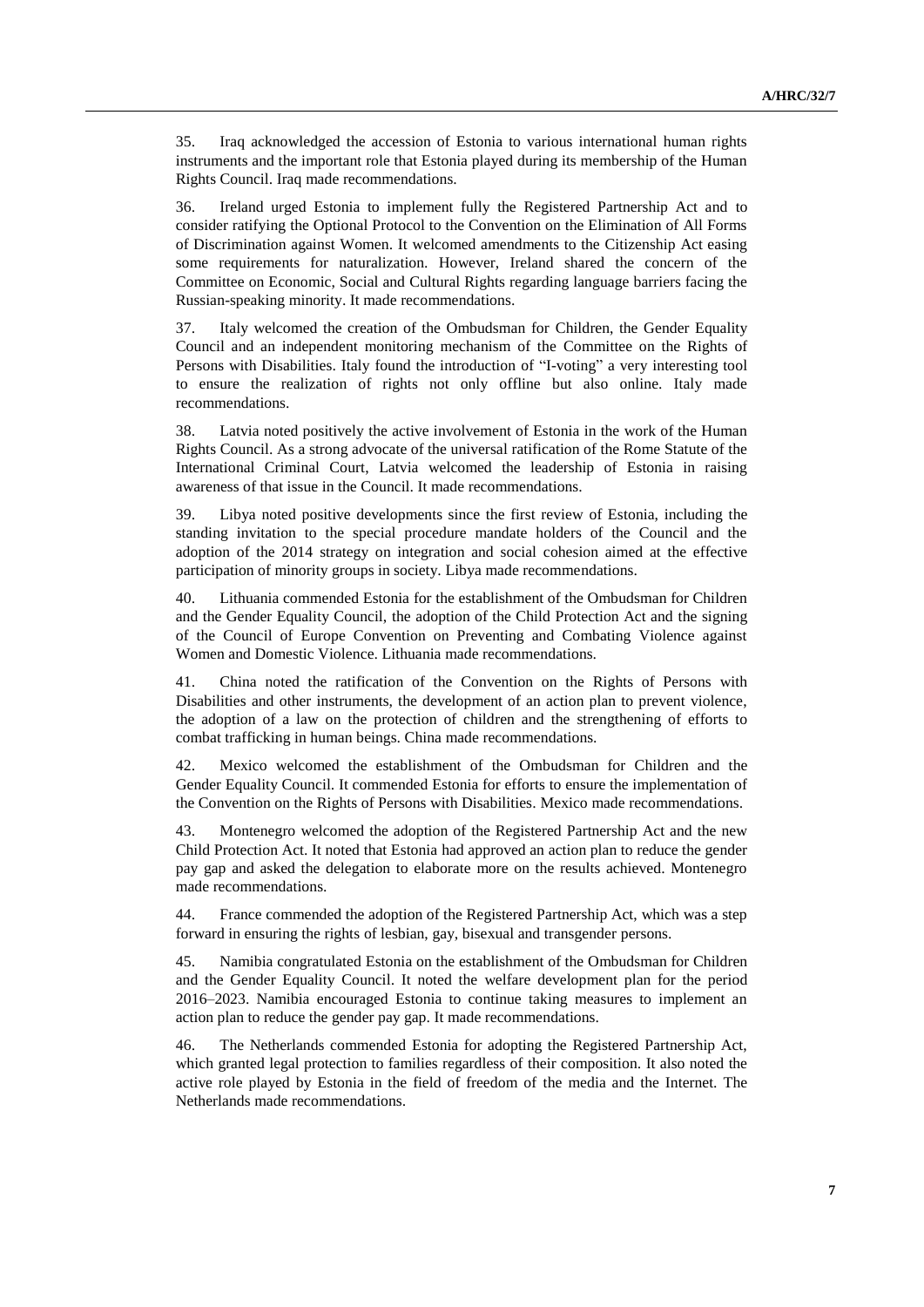35. Iraq acknowledged the accession of Estonia to various international human rights instruments and the important role that Estonia played during its membership of the Human Rights Council. Iraq made recommendations.

36. Ireland urged Estonia to implement fully the Registered Partnership Act and to consider ratifying the Optional Protocol to the Convention on the Elimination of All Forms of Discrimination against Women. It welcomed amendments to the Citizenship Act easing some requirements for naturalization. However, Ireland shared the concern of the Committee on Economic, Social and Cultural Rights regarding language barriers facing the Russian-speaking minority. It made recommendations.

37. Italy welcomed the creation of the Ombudsman for Children, the Gender Equality Council and an independent monitoring mechanism of the Committee on the Rights of Persons with Disabilities. Italy found the introduction of "I-voting" a very interesting tool to ensure the realization of rights not only offline but also online. Italy made recommendations.

38. Latvia noted positively the active involvement of Estonia in the work of the Human Rights Council. As a strong advocate of the universal ratification of the Rome Statute of the International Criminal Court, Latvia welcomed the leadership of Estonia in raising awareness of that issue in the Council. It made recommendations.

39. Libya noted positive developments since the first review of Estonia, including the standing invitation to the special procedure mandate holders of the Council and the adoption of the 2014 strategy on integration and social cohesion aimed at the effective participation of minority groups in society. Libya made recommendations.

40. Lithuania commended Estonia for the establishment of the Ombudsman for Children and the Gender Equality Council, the adoption of the Child Protection Act and the signing of the Council of Europe Convention on Preventing and Combating Violence against Women and Domestic Violence. Lithuania made recommendations.

41. China noted the ratification of the Convention on the Rights of Persons with Disabilities and other instruments, the development of an action plan to prevent violence, the adoption of a law on the protection of children and the strengthening of efforts to combat trafficking in human beings. China made recommendations.

42. Mexico welcomed the establishment of the Ombudsman for Children and the Gender Equality Council. It commended Estonia for efforts to ensure the implementation of the Convention on the Rights of Persons with Disabilities. Mexico made recommendations.

43. Montenegro welcomed the adoption of the Registered Partnership Act and the new Child Protection Act. It noted that Estonia had approved an action plan to reduce the gender pay gap and asked the delegation to elaborate more on the results achieved. Montenegro made recommendations.

44. France commended the adoption of the Registered Partnership Act, which was a step forward in ensuring the rights of lesbian, gay, bisexual and transgender persons.

45. Namibia congratulated Estonia on the establishment of the Ombudsman for Children and the Gender Equality Council. It noted the welfare development plan for the period 2016–2023. Namibia encouraged Estonia to continue taking measures to implement an action plan to reduce the gender pay gap. It made recommendations.

46. The Netherlands commended Estonia for adopting the Registered Partnership Act, which granted legal protection to families regardless of their composition. It also noted the active role played by Estonia in the field of freedom of the media and the Internet. The Netherlands made recommendations.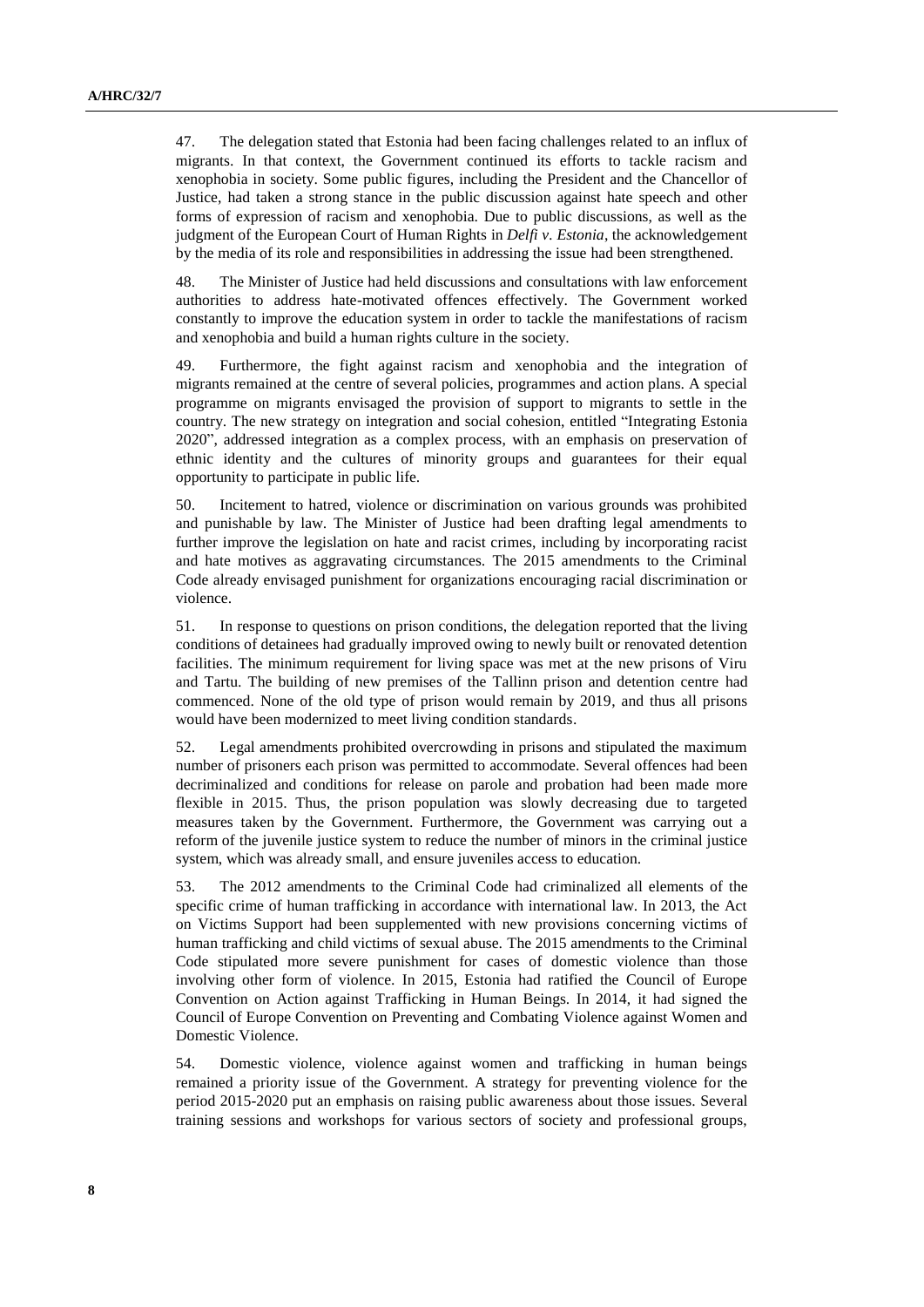47. The delegation stated that Estonia had been facing challenges related to an influx of migrants. In that context, the Government continued its efforts to tackle racism and xenophobia in society. Some public figures, including the President and the Chancellor of Justice, had taken a strong stance in the public discussion against hate speech and other forms of expression of racism and xenophobia. Due to public discussions, as well as the judgment of the European Court of Human Rights in *Delfi v. Estonia*, the acknowledgement by the media of its role and responsibilities in addressing the issue had been strengthened.

48. The Minister of Justice had held discussions and consultations with law enforcement authorities to address hate-motivated offences effectively. The Government worked constantly to improve the education system in order to tackle the manifestations of racism and xenophobia and build a human rights culture in the society.

49. Furthermore, the fight against racism and xenophobia and the integration of migrants remained at the centre of several policies, programmes and action plans. A special programme on migrants envisaged the provision of support to migrants to settle in the country. The new strategy on integration and social cohesion, entitled "Integrating Estonia 2020", addressed integration as a complex process, with an emphasis on preservation of ethnic identity and the cultures of minority groups and guarantees for their equal opportunity to participate in public life.

50. Incitement to hatred, violence or discrimination on various grounds was prohibited and punishable by law. The Minister of Justice had been drafting legal amendments to further improve the legislation on hate and racist crimes, including by incorporating racist and hate motives as aggravating circumstances. The 2015 amendments to the Criminal Code already envisaged punishment for organizations encouraging racial discrimination or violence.

51. In response to questions on prison conditions, the delegation reported that the living conditions of detainees had gradually improved owing to newly built or renovated detention facilities. The minimum requirement for living space was met at the new prisons of Viru and Tartu. The building of new premises of the Tallinn prison and detention centre had commenced. None of the old type of prison would remain by 2019, and thus all prisons would have been modernized to meet living condition standards.

52. Legal amendments prohibited overcrowding in prisons and stipulated the maximum number of prisoners each prison was permitted to accommodate. Several offences had been decriminalized and conditions for release on parole and probation had been made more flexible in 2015. Thus, the prison population was slowly decreasing due to targeted measures taken by the Government. Furthermore, the Government was carrying out a reform of the juvenile justice system to reduce the number of minors in the criminal justice system, which was already small, and ensure juveniles access to education.

53. The 2012 amendments to the Criminal Code had criminalized all elements of the specific crime of human trafficking in accordance with international law. In 2013, the Act on Victims Support had been supplemented with new provisions concerning victims of human trafficking and child victims of sexual abuse. The 2015 amendments to the Criminal Code stipulated more severe punishment for cases of domestic violence than those involving other form of violence. In 2015, Estonia had ratified the Council of Europe Convention on Action against Trafficking in Human Beings. In 2014, it had signed the Council of Europe Convention on Preventing and Combating Violence against Women and Domestic Violence.

54. Domestic violence, violence against women and trafficking in human beings remained a priority issue of the Government. A strategy for preventing violence for the period 2015-2020 put an emphasis on raising public awareness about those issues. Several training sessions and workshops for various sectors of society and professional groups,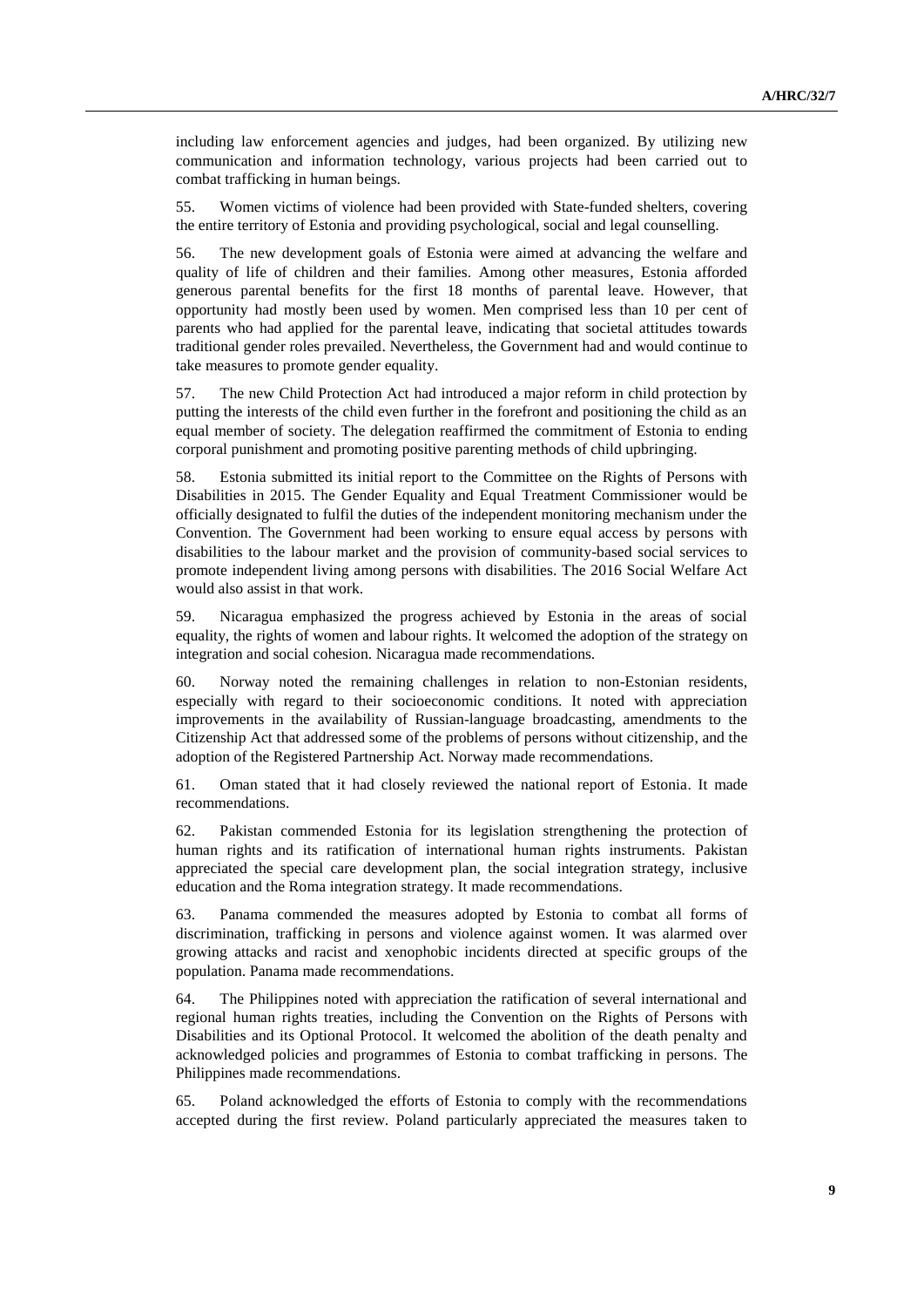including law enforcement agencies and judges, had been organized. By utilizing new communication and information technology, various projects had been carried out to combat trafficking in human beings.

55. Women victims of violence had been provided with State-funded shelters, covering the entire territory of Estonia and providing psychological, social and legal counselling.

56. The new development goals of Estonia were aimed at advancing the welfare and quality of life of children and their families. Among other measures, Estonia afforded generous parental benefits for the first 18 months of parental leave. However, that opportunity had mostly been used by women. Men comprised less than 10 per cent of parents who had applied for the parental leave, indicating that societal attitudes towards traditional gender roles prevailed. Nevertheless, the Government had and would continue to take measures to promote gender equality.

57. The new Child Protection Act had introduced a major reform in child protection by putting the interests of the child even further in the forefront and positioning the child as an equal member of society. The delegation reaffirmed the commitment of Estonia to ending corporal punishment and promoting positive parenting methods of child upbringing.

58. Estonia submitted its initial report to the Committee on the Rights of Persons with Disabilities in 2015. The Gender Equality and Equal Treatment Commissioner would be officially designated to fulfil the duties of the independent monitoring mechanism under the Convention. The Government had been working to ensure equal access by persons with disabilities to the labour market and the provision of community-based social services to promote independent living among persons with disabilities. The 2016 Social Welfare Act would also assist in that work.

59. Nicaragua emphasized the progress achieved by Estonia in the areas of social equality, the rights of women and labour rights. It welcomed the adoption of the strategy on integration and social cohesion. Nicaragua made recommendations.

60. Norway noted the remaining challenges in relation to non-Estonian residents, especially with regard to their socioeconomic conditions. It noted with appreciation improvements in the availability of Russian-language broadcasting, amendments to the Citizenship Act that addressed some of the problems of persons without citizenship, and the adoption of the Registered Partnership Act. Norway made recommendations.

61. Oman stated that it had closely reviewed the national report of Estonia. It made recommendations.

62. Pakistan commended Estonia for its legislation strengthening the protection of human rights and its ratification of international human rights instruments. Pakistan appreciated the special care development plan, the social integration strategy, inclusive education and the Roma integration strategy. It made recommendations.

63. Panama commended the measures adopted by Estonia to combat all forms of discrimination, trafficking in persons and violence against women. It was alarmed over growing attacks and racist and xenophobic incidents directed at specific groups of the population. Panama made recommendations.

64. The Philippines noted with appreciation the ratification of several international and regional human rights treaties, including the Convention on the Rights of Persons with Disabilities and its Optional Protocol. It welcomed the abolition of the death penalty and acknowledged policies and programmes of Estonia to combat trafficking in persons. The Philippines made recommendations.

65. Poland acknowledged the efforts of Estonia to comply with the recommendations accepted during the first review. Poland particularly appreciated the measures taken to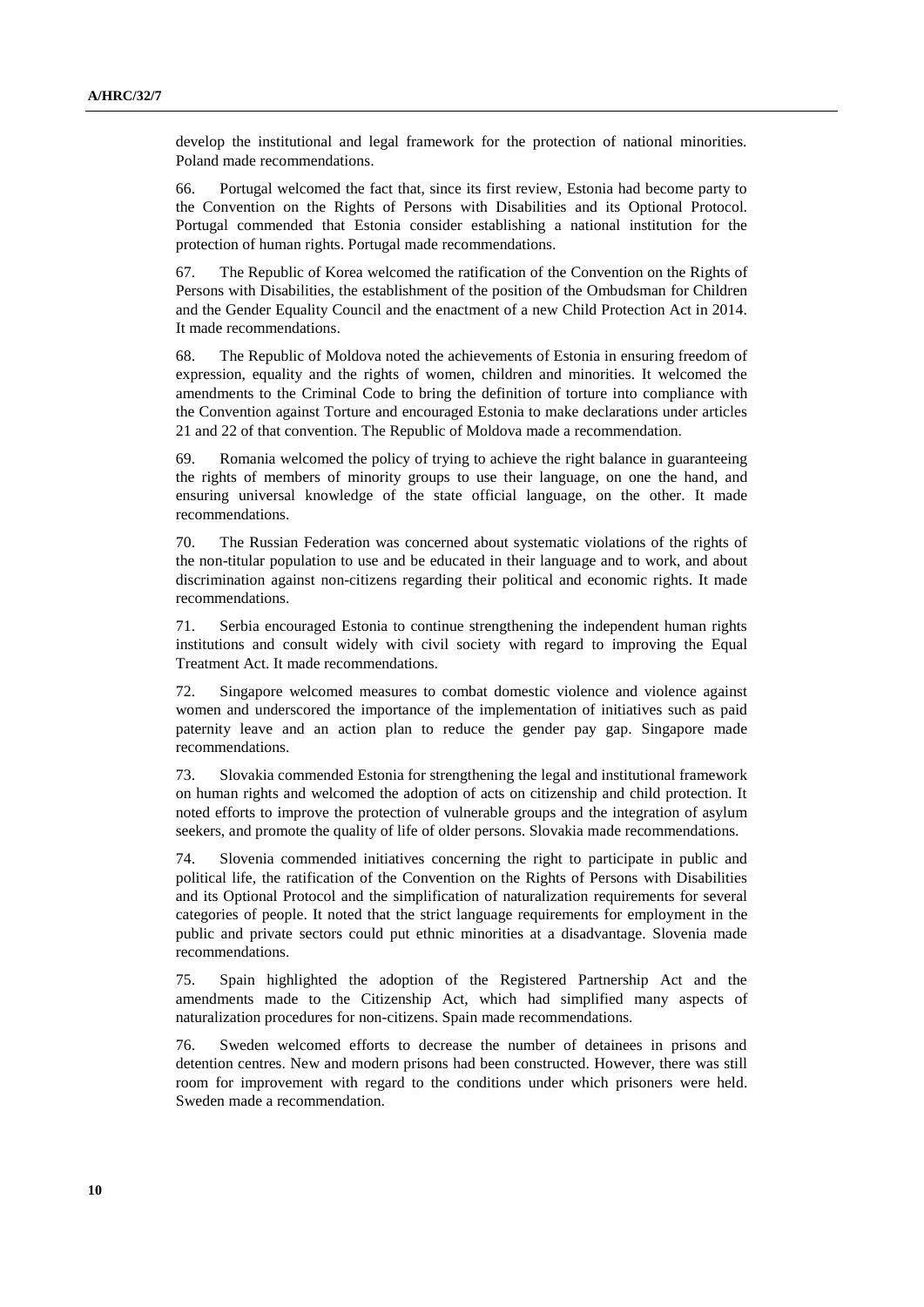develop the institutional and legal framework for the protection of national minorities. Poland made recommendations.

66. Portugal welcomed the fact that, since its first review, Estonia had become party to the Convention on the Rights of Persons with Disabilities and its Optional Protocol. Portugal commended that Estonia consider establishing a national institution for the protection of human rights. Portugal made recommendations.

67. The Republic of Korea welcomed the ratification of the Convention on the Rights of Persons with Disabilities, the establishment of the position of the Ombudsman for Children and the Gender Equality Council and the enactment of a new Child Protection Act in 2014. It made recommendations.

68. The Republic of Moldova noted the achievements of Estonia in ensuring freedom of expression, equality and the rights of women, children and minorities. It welcomed the amendments to the Criminal Code to bring the definition of torture into compliance with the Convention against Torture and encouraged Estonia to make declarations under articles 21 and 22 of that convention. The Republic of Moldova made a recommendation.

69. Romania welcomed the policy of trying to achieve the right balance in guaranteeing the rights of members of minority groups to use their language, on one the hand, and ensuring universal knowledge of the state official language, on the other. It made recommendations.

70. The Russian Federation was concerned about systematic violations of the rights of the non-titular population to use and be educated in their language and to work, and about discrimination against non-citizens regarding their political and economic rights. It made recommendations.

71. Serbia encouraged Estonia to continue strengthening the independent human rights institutions and consult widely with civil society with regard to improving the Equal Treatment Act. It made recommendations.

72. Singapore welcomed measures to combat domestic violence and violence against women and underscored the importance of the implementation of initiatives such as paid paternity leave and an action plan to reduce the gender pay gap. Singapore made recommendations.

73. Slovakia commended Estonia for strengthening the legal and institutional framework on human rights and welcomed the adoption of acts on citizenship and child protection. It noted efforts to improve the protection of vulnerable groups and the integration of asylum seekers, and promote the quality of life of older persons. Slovakia made recommendations.

74. Slovenia commended initiatives concerning the right to participate in public and political life, the ratification of the Convention on the Rights of Persons with Disabilities and its Optional Protocol and the simplification of naturalization requirements for several categories of people. It noted that the strict language requirements for employment in the public and private sectors could put ethnic minorities at a disadvantage. Slovenia made recommendations.

75. Spain highlighted the adoption of the Registered Partnership Act and the amendments made to the Citizenship Act, which had simplified many aspects of naturalization procedures for non-citizens. Spain made recommendations.

76. Sweden welcomed efforts to decrease the number of detainees in prisons and detention centres. New and modern prisons had been constructed. However, there was still room for improvement with regard to the conditions under which prisoners were held. Sweden made a recommendation.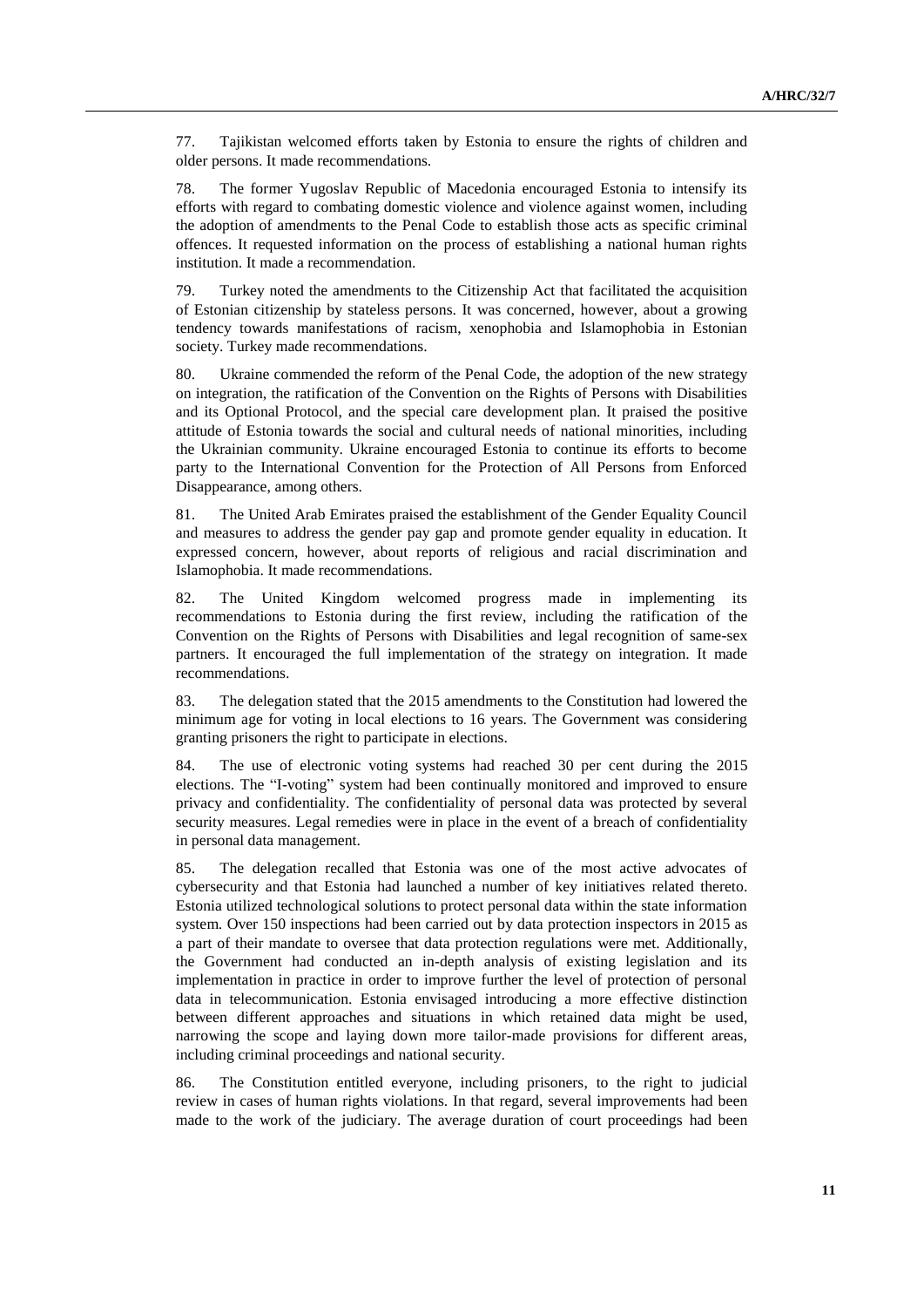77. Tajikistan welcomed efforts taken by Estonia to ensure the rights of children and older persons. It made recommendations.

78. The former Yugoslav Republic of Macedonia encouraged Estonia to intensify its efforts with regard to combating domestic violence and violence against women, including the adoption of amendments to the Penal Code to establish those acts as specific criminal offences. It requested information on the process of establishing a national human rights institution. It made a recommendation.

79. Turkey noted the amendments to the Citizenship Act that facilitated the acquisition of Estonian citizenship by stateless persons. It was concerned, however, about a growing tendency towards manifestations of racism, xenophobia and Islamophobia in Estonian society. Turkey made recommendations.

80. Ukraine commended the reform of the Penal Code, the adoption of the new strategy on integration, the ratification of the Convention on the Rights of Persons with Disabilities and its Optional Protocol, and the special care development plan. It praised the positive attitude of Estonia towards the social and cultural needs of national minorities, including the Ukrainian community. Ukraine encouraged Estonia to continue its efforts to become party to the International Convention for the Protection of All Persons from Enforced Disappearance, among others.

81. The United Arab Emirates praised the establishment of the Gender Equality Council and measures to address the gender pay gap and promote gender equality in education. It expressed concern, however, about reports of religious and racial discrimination and Islamophobia. It made recommendations.

82. The United Kingdom welcomed progress made in implementing its recommendations to Estonia during the first review, including the ratification of the Convention on the Rights of Persons with Disabilities and legal recognition of same-sex partners. It encouraged the full implementation of the strategy on integration. It made recommendations.

83. The delegation stated that the 2015 amendments to the Constitution had lowered the minimum age for voting in local elections to 16 years. The Government was considering granting prisoners the right to participate in elections.

84. The use of electronic voting systems had reached 30 per cent during the 2015 elections. The "I-voting" system had been continually monitored and improved to ensure privacy and confidentiality. The confidentiality of personal data was protected by several security measures. Legal remedies were in place in the event of a breach of confidentiality in personal data management.

85. The delegation recalled that Estonia was one of the most active advocates of cybersecurity and that Estonia had launched a number of key initiatives related thereto. Estonia utilized technological solutions to protect personal data within the state information system. Over 150 inspections had been carried out by data protection inspectors in 2015 as a part of their mandate to oversee that data protection regulations were met. Additionally, the Government had conducted an in-depth analysis of existing legislation and its implementation in practice in order to improve further the level of protection of personal data in telecommunication. Estonia envisaged introducing a more effective distinction between different approaches and situations in which retained data might be used, narrowing the scope and laying down more tailor-made provisions for different areas, including criminal proceedings and national security.

86. The Constitution entitled everyone, including prisoners, to the right to judicial review in cases of human rights violations. In that regard, several improvements had been made to the work of the judiciary. The average duration of court proceedings had been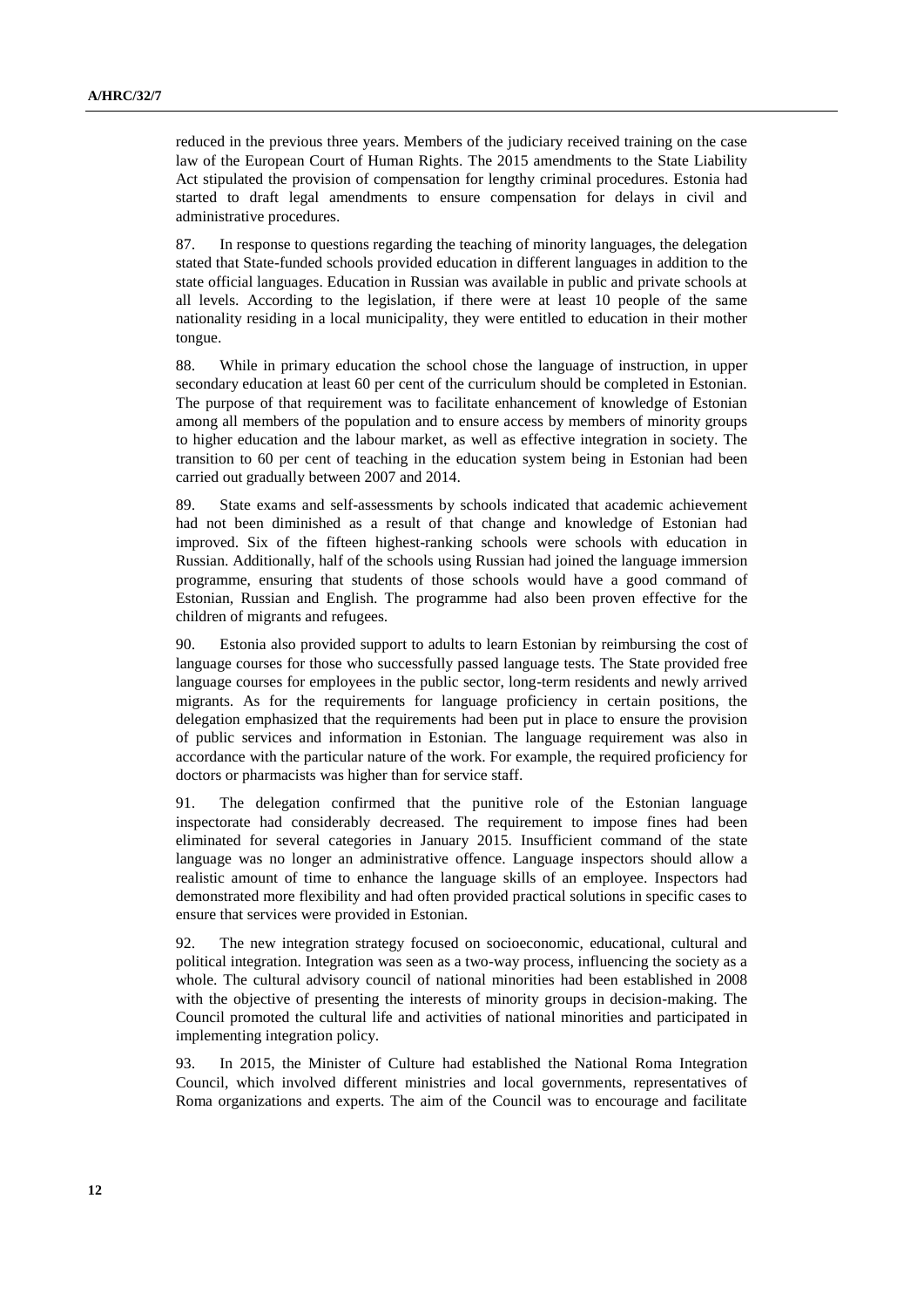reduced in the previous three years. Members of the judiciary received training on the case law of the European Court of Human Rights. The 2015 amendments to the State Liability Act stipulated the provision of compensation for lengthy criminal procedures. Estonia had started to draft legal amendments to ensure compensation for delays in civil and administrative procedures.

87. In response to questions regarding the teaching of minority languages, the delegation stated that State-funded schools provided education in different languages in addition to the state official languages. Education in Russian was available in public and private schools at all levels. According to the legislation, if there were at least 10 people of the same nationality residing in a local municipality, they were entitled to education in their mother tongue.

88. While in primary education the school chose the language of instruction, in upper secondary education at least 60 per cent of the curriculum should be completed in Estonian. The purpose of that requirement was to facilitate enhancement of knowledge of Estonian among all members of the population and to ensure access by members of minority groups to higher education and the labour market, as well as effective integration in society. The transition to 60 per cent of teaching in the education system being in Estonian had been carried out gradually between 2007 and 2014.

89. State exams and self-assessments by schools indicated that academic achievement had not been diminished as a result of that change and knowledge of Estonian had improved. Six of the fifteen highest-ranking schools were schools with education in Russian. Additionally, half of the schools using Russian had joined the language immersion programme, ensuring that students of those schools would have a good command of Estonian, Russian and English. The programme had also been proven effective for the children of migrants and refugees.

90. Estonia also provided support to adults to learn Estonian by reimbursing the cost of language courses for those who successfully passed language tests. The State provided free language courses for employees in the public sector, long-term residents and newly arrived migrants. As for the requirements for language proficiency in certain positions, the delegation emphasized that the requirements had been put in place to ensure the provision of public services and information in Estonian. The language requirement was also in accordance with the particular nature of the work. For example, the required proficiency for doctors or pharmacists was higher than for service staff.

91. The delegation confirmed that the punitive role of the Estonian language inspectorate had considerably decreased. The requirement to impose fines had been eliminated for several categories in January 2015. Insufficient command of the state language was no longer an administrative offence. Language inspectors should allow a realistic amount of time to enhance the language skills of an employee. Inspectors had demonstrated more flexibility and had often provided practical solutions in specific cases to ensure that services were provided in Estonian.

92. The new integration strategy focused on socioeconomic, educational, cultural and political integration. Integration was seen as a two-way process, influencing the society as a whole. The cultural advisory council of national minorities had been established in 2008 with the objective of presenting the interests of minority groups in decision-making. The Council promoted the cultural life and activities of national minorities and participated in implementing integration policy.

93. In 2015, the Minister of Culture had established the National Roma Integration Council, which involved different ministries and local governments, representatives of Roma organizations and experts. The aim of the Council was to encourage and facilitate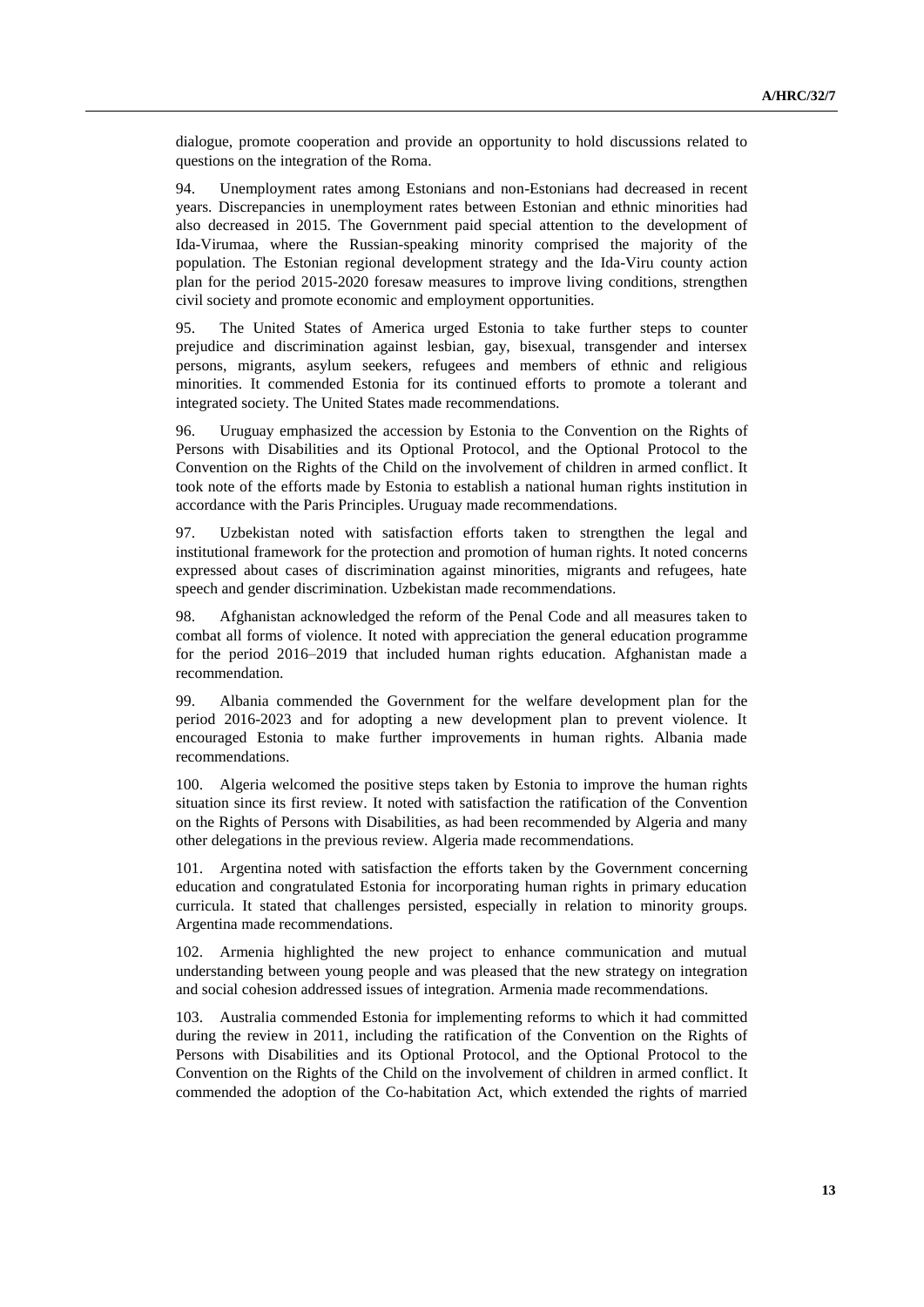dialogue, promote cooperation and provide an opportunity to hold discussions related to questions on the integration of the Roma.

94. Unemployment rates among Estonians and non-Estonians had decreased in recent years. Discrepancies in unemployment rates between Estonian and ethnic minorities had also decreased in 2015. The Government paid special attention to the development of Ida-Virumaa, where the Russian-speaking minority comprised the majority of the population. The Estonian regional development strategy and the Ida-Viru county action plan for the period 2015-2020 foresaw measures to improve living conditions, strengthen civil society and promote economic and employment opportunities.

95. The United States of America urged Estonia to take further steps to counter prejudice and discrimination against lesbian, gay, bisexual, transgender and intersex persons, migrants, asylum seekers, refugees and members of ethnic and religious minorities. It commended Estonia for its continued efforts to promote a tolerant and integrated society. The United States made recommendations.

96. Uruguay emphasized the accession by Estonia to the Convention on the Rights of Persons with Disabilities and its Optional Protocol, and the Optional Protocol to the Convention on the Rights of the Child on the involvement of children in armed conflict. It took note of the efforts made by Estonia to establish a national human rights institution in accordance with the Paris Principles. Uruguay made recommendations.

97. Uzbekistan noted with satisfaction efforts taken to strengthen the legal and institutional framework for the protection and promotion of human rights. It noted concerns expressed about cases of discrimination against minorities, migrants and refugees, hate speech and gender discrimination. Uzbekistan made recommendations.

98. Afghanistan acknowledged the reform of the Penal Code and all measures taken to combat all forms of violence. It noted with appreciation the general education programme for the period 2016–2019 that included human rights education. Afghanistan made a recommendation.

99. Albania commended the Government for the welfare development plan for the period 2016-2023 and for adopting a new development plan to prevent violence. It encouraged Estonia to make further improvements in human rights. Albania made recommendations.

100. Algeria welcomed the positive steps taken by Estonia to improve the human rights situation since its first review. It noted with satisfaction the ratification of the Convention on the Rights of Persons with Disabilities, as had been recommended by Algeria and many other delegations in the previous review. Algeria made recommendations.

101. Argentina noted with satisfaction the efforts taken by the Government concerning education and congratulated Estonia for incorporating human rights in primary education curricula. It stated that challenges persisted, especially in relation to minority groups. Argentina made recommendations.

102. Armenia highlighted the new project to enhance communication and mutual understanding between young people and was pleased that the new strategy on integration and social cohesion addressed issues of integration. Armenia made recommendations.

103. Australia commended Estonia for implementing reforms to which it had committed during the review in 2011, including the ratification of the Convention on the Rights of Persons with Disabilities and its Optional Protocol, and the Optional Protocol to the Convention on the Rights of the Child on the involvement of children in armed conflict. It commended the adoption of the Co-habitation Act, which extended the rights of married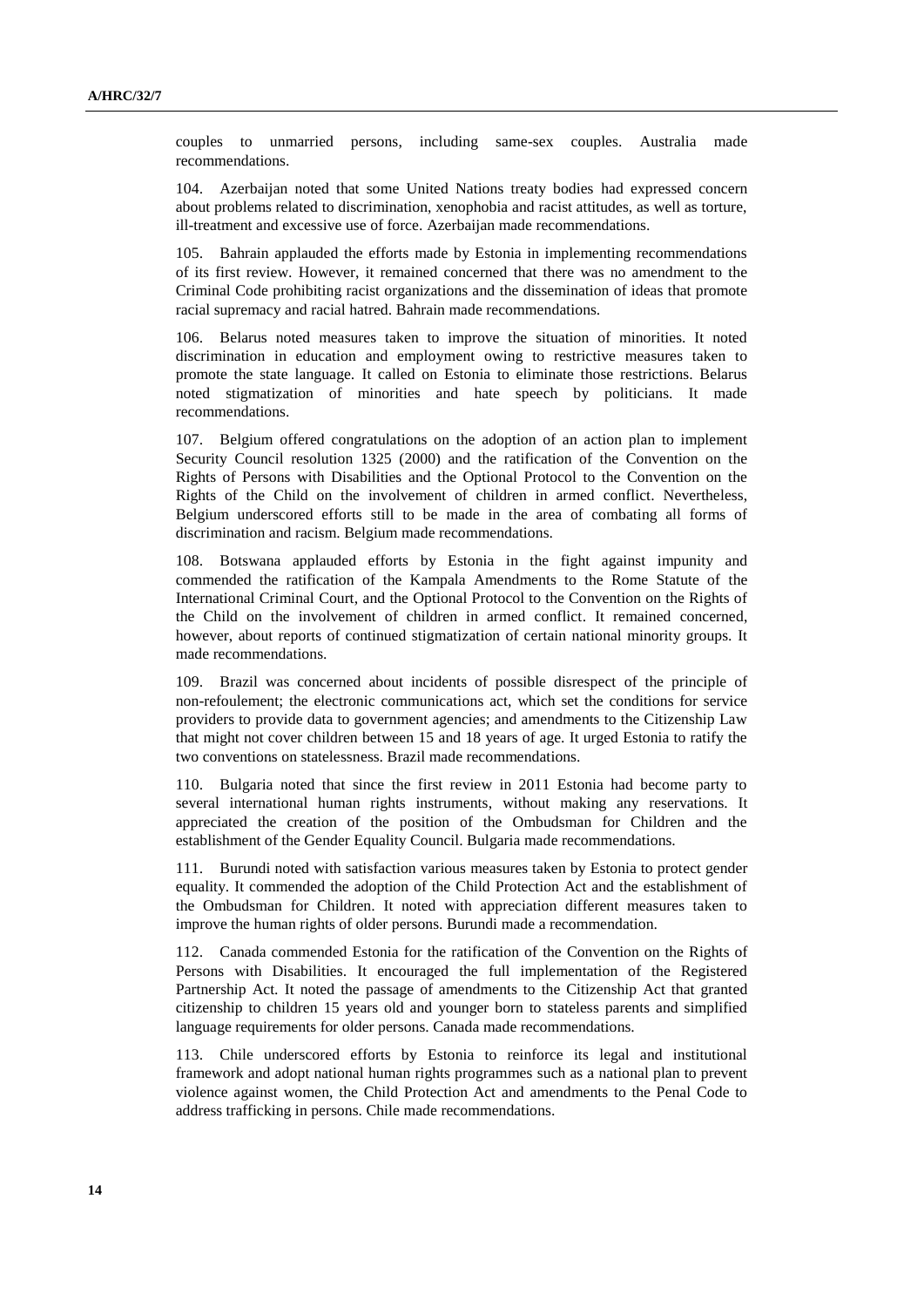couples to unmarried persons, including same-sex couples. Australia made recommendations.

104. Azerbaijan noted that some United Nations treaty bodies had expressed concern about problems related to discrimination, xenophobia and racist attitudes, as well as torture, ill-treatment and excessive use of force. Azerbaijan made recommendations.

105. Bahrain applauded the efforts made by Estonia in implementing recommendations of its first review. However, it remained concerned that there was no amendment to the Criminal Code prohibiting racist organizations and the dissemination of ideas that promote racial supremacy and racial hatred. Bahrain made recommendations.

106. Belarus noted measures taken to improve the situation of minorities. It noted discrimination in education and employment owing to restrictive measures taken to promote the state language. It called on Estonia to eliminate those restrictions. Belarus noted stigmatization of minorities and hate speech by politicians. It made recommendations.

107. Belgium offered congratulations on the adoption of an action plan to implement Security Council resolution 1325 (2000) and the ratification of the Convention on the Rights of Persons with Disabilities and the Optional Protocol to the Convention on the Rights of the Child on the involvement of children in armed conflict. Nevertheless, Belgium underscored efforts still to be made in the area of combating all forms of discrimination and racism. Belgium made recommendations.

108. Botswana applauded efforts by Estonia in the fight against impunity and commended the ratification of the Kampala Amendments to the Rome Statute of the International Criminal Court, and the Optional Protocol to the Convention on the Rights of the Child on the involvement of children in armed conflict. It remained concerned, however, about reports of continued stigmatization of certain national minority groups. It made recommendations.

109. Brazil was concerned about incidents of possible disrespect of the principle of non-refoulement; the electronic communications act, which set the conditions for service providers to provide data to government agencies; and amendments to the Citizenship Law that might not cover children between 15 and 18 years of age. It urged Estonia to ratify the two conventions on statelessness. Brazil made recommendations.

110. Bulgaria noted that since the first review in 2011 Estonia had become party to several international human rights instruments, without making any reservations. It appreciated the creation of the position of the Ombudsman for Children and the establishment of the Gender Equality Council. Bulgaria made recommendations.

111. Burundi noted with satisfaction various measures taken by Estonia to protect gender equality. It commended the adoption of the Child Protection Act and the establishment of the Ombudsman for Children. It noted with appreciation different measures taken to improve the human rights of older persons. Burundi made a recommendation.

112. Canada commended Estonia for the ratification of the Convention on the Rights of Persons with Disabilities. It encouraged the full implementation of the Registered Partnership Act. It noted the passage of amendments to the Citizenship Act that granted citizenship to children 15 years old and younger born to stateless parents and simplified language requirements for older persons. Canada made recommendations.

113. Chile underscored efforts by Estonia to reinforce its legal and institutional framework and adopt national human rights programmes such as a national plan to prevent violence against women, the Child Protection Act and amendments to the Penal Code to address trafficking in persons. Chile made recommendations.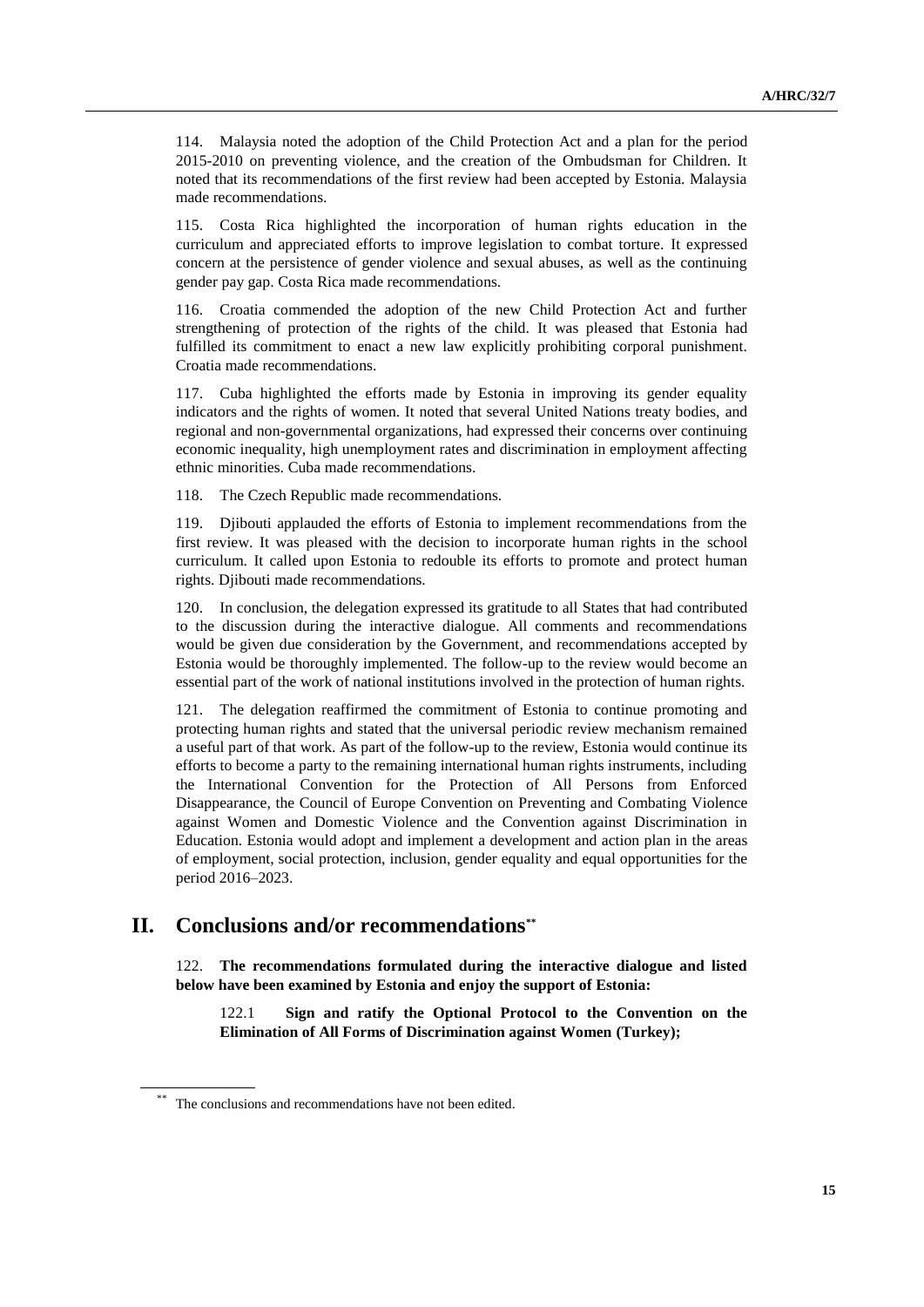114. Malaysia noted the adoption of the Child Protection Act and a plan for the period 2015-2010 on preventing violence, and the creation of the Ombudsman for Children. It noted that its recommendations of the first review had been accepted by Estonia. Malaysia made recommendations.

115. Costa Rica highlighted the incorporation of human rights education in the curriculum and appreciated efforts to improve legislation to combat torture. It expressed concern at the persistence of gender violence and sexual abuses, as well as the continuing gender pay gap. Costa Rica made recommendations.

116. Croatia commended the adoption of the new Child Protection Act and further strengthening of protection of the rights of the child. It was pleased that Estonia had fulfilled its commitment to enact a new law explicitly prohibiting corporal punishment. Croatia made recommendations.

117. Cuba highlighted the efforts made by Estonia in improving its gender equality indicators and the rights of women. It noted that several United Nations treaty bodies, and regional and non-governmental organizations, had expressed their concerns over continuing economic inequality, high unemployment rates and discrimination in employment affecting ethnic minorities. Cuba made recommendations.

118. The Czech Republic made recommendations.

119. Djibouti applauded the efforts of Estonia to implement recommendations from the first review. It was pleased with the decision to incorporate human rights in the school curriculum. It called upon Estonia to redouble its efforts to promote and protect human rights. Djibouti made recommendations.

120. In conclusion, the delegation expressed its gratitude to all States that had contributed to the discussion during the interactive dialogue. All comments and recommendations would be given due consideration by the Government, and recommendations accepted by Estonia would be thoroughly implemented. The follow-up to the review would become an essential part of the work of national institutions involved in the protection of human rights.

121. The delegation reaffirmed the commitment of Estonia to continue promoting and protecting human rights and stated that the universal periodic review mechanism remained a useful part of that work. As part of the follow-up to the review, Estonia would continue its efforts to become a party to the remaining international human rights instruments, including the International Convention for the Protection of All Persons from Enforced Disappearance, the Council of Europe Convention on Preventing and Combating Violence against Women and Domestic Violence and the Convention against Discrimination in Education. Estonia would adopt and implement a development and action plan in the areas of employment, social protection, inclusion, gender equality and equal opportunities for the period 2016–2023.

# **II. Conclusions and/or recommendations\*\***

122. **The recommendations formulated during the interactive dialogue and listed below have been examined by Estonia and enjoy the support of Estonia:**

122.1 **Sign and ratify the Optional Protocol to the Convention on the Elimination of All Forms of Discrimination against Women (Turkey);**

The conclusions and recommendations have not been edited.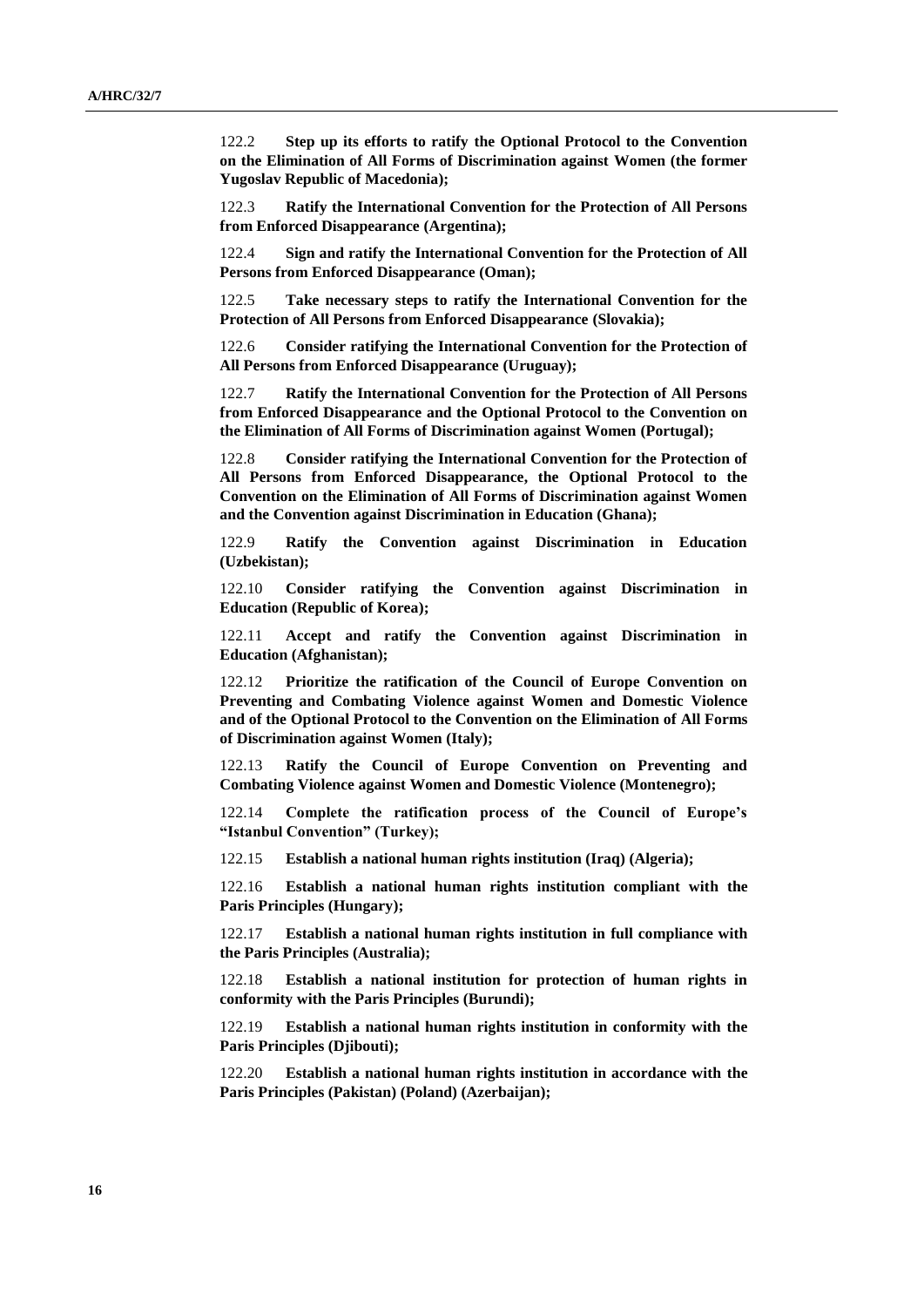122.2 **Step up its efforts to ratify the Optional Protocol to the Convention on the Elimination of All Forms of Discrimination against Women (the former Yugoslav Republic of Macedonia);**

122.3 **Ratify the International Convention for the Protection of All Persons from Enforced Disappearance (Argentina);**

122.4 **Sign and ratify the International Convention for the Protection of All Persons from Enforced Disappearance (Oman);**

122.5 **Take necessary steps to ratify the International Convention for the Protection of All Persons from Enforced Disappearance (Slovakia);**

122.6 **Consider ratifying the International Convention for the Protection of All Persons from Enforced Disappearance (Uruguay);**

122.7 **Ratify the International Convention for the Protection of All Persons from Enforced Disappearance and the Optional Protocol to the Convention on the Elimination of All Forms of Discrimination against Women (Portugal);**

122.8 **Consider ratifying the International Convention for the Protection of All Persons from Enforced Disappearance, the Optional Protocol to the Convention on the Elimination of All Forms of Discrimination against Women and the Convention against Discrimination in Education (Ghana);**

122.9 **Ratify the Convention against Discrimination in Education (Uzbekistan);**

122.10 **Consider ratifying the Convention against Discrimination in Education (Republic of Korea);**

122.11 **Accept and ratify the Convention against Discrimination in Education (Afghanistan);**

122.12 **Prioritize the ratification of the Council of Europe Convention on Preventing and Combating Violence against Women and Domestic Violence and of the Optional Protocol to the Convention on the Elimination of All Forms of Discrimination against Women (Italy);**

122.13 **Ratify the Council of Europe Convention on Preventing and Combating Violence against Women and Domestic Violence (Montenegro);**

122.14 **Complete the ratification process of the Council of Europe's "Istanbul Convention" (Turkey);**

122.15 **Establish a national human rights institution (Iraq) (Algeria);**

122.16 **Establish a national human rights institution compliant with the Paris Principles (Hungary);**

122.17 **Establish a national human rights institution in full compliance with the Paris Principles (Australia);**

122.18 **Establish a national institution for protection of human rights in conformity with the Paris Principles (Burundi);**

122.19 **Establish a national human rights institution in conformity with the Paris Principles (Djibouti);**

122.20 **Establish a national human rights institution in accordance with the Paris Principles (Pakistan) (Poland) (Azerbaijan);**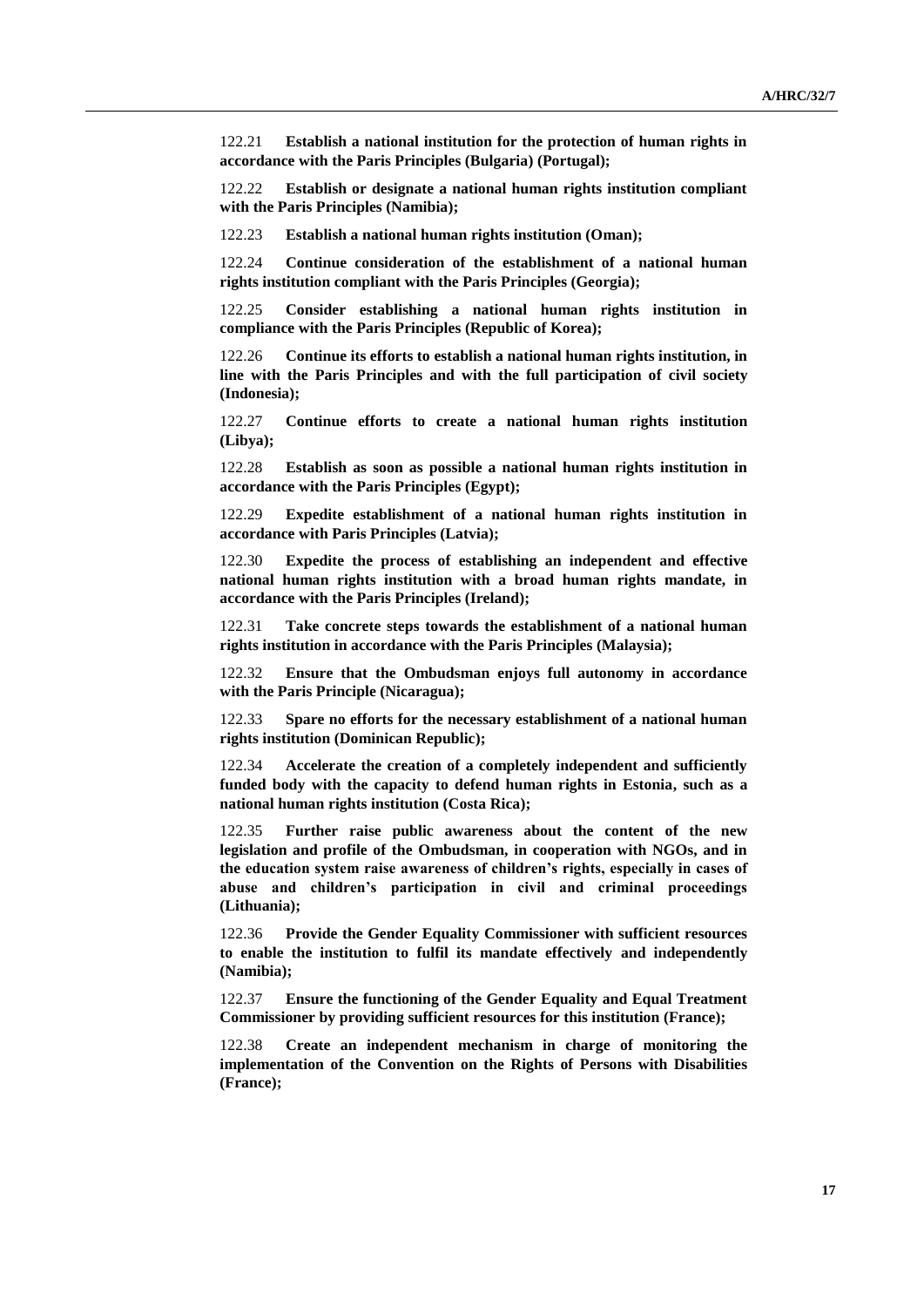122.21 **Establish a national institution for the protection of human rights in accordance with the Paris Principles (Bulgaria) (Portugal);**

122.22 **Establish or designate a national human rights institution compliant with the Paris Principles (Namibia);**

122.23 **Establish a national human rights institution (Oman);**

122.24 **Continue consideration of the establishment of a national human rights institution compliant with the Paris Principles (Georgia);**

122.25 **Consider establishing a national human rights institution in compliance with the Paris Principles (Republic of Korea);**

122.26 **Continue its efforts to establish a national human rights institution, in line with the Paris Principles and with the full participation of civil society (Indonesia);**

122.27 **Continue efforts to create a national human rights institution (Libya);**

122.28 **Establish as soon as possible a national human rights institution in accordance with the Paris Principles (Egypt);**

122.29 **Expedite establishment of a national human rights institution in accordance with Paris Principles (Latvia);**

122.30 **Expedite the process of establishing an independent and effective national human rights institution with a broad human rights mandate, in accordance with the Paris Principles (Ireland);**

122.31 **Take concrete steps towards the establishment of a national human rights institution in accordance with the Paris Principles (Malaysia);**

122.32 **Ensure that the Ombudsman enjoys full autonomy in accordance with the Paris Principle (Nicaragua);**

122.33 **Spare no efforts for the necessary establishment of a national human rights institution (Dominican Republic);**

122.34 **Accelerate the creation of a completely independent and sufficiently funded body with the capacity to defend human rights in Estonia, such as a national human rights institution (Costa Rica);**

122.35 **Further raise public awareness about the content of the new legislation and profile of the Ombudsman, in cooperation with NGOs, and in the education system raise awareness of children's rights, especially in cases of abuse and children's participation in civil and criminal proceedings (Lithuania);**

122.36 **Provide the Gender Equality Commissioner with sufficient resources to enable the institution to fulfil its mandate effectively and independently (Namibia);**

122.37 **Ensure the functioning of the Gender Equality and Equal Treatment Commissioner by providing sufficient resources for this institution (France);**

122.38 **Create an independent mechanism in charge of monitoring the implementation of the Convention on the Rights of Persons with Disabilities (France);**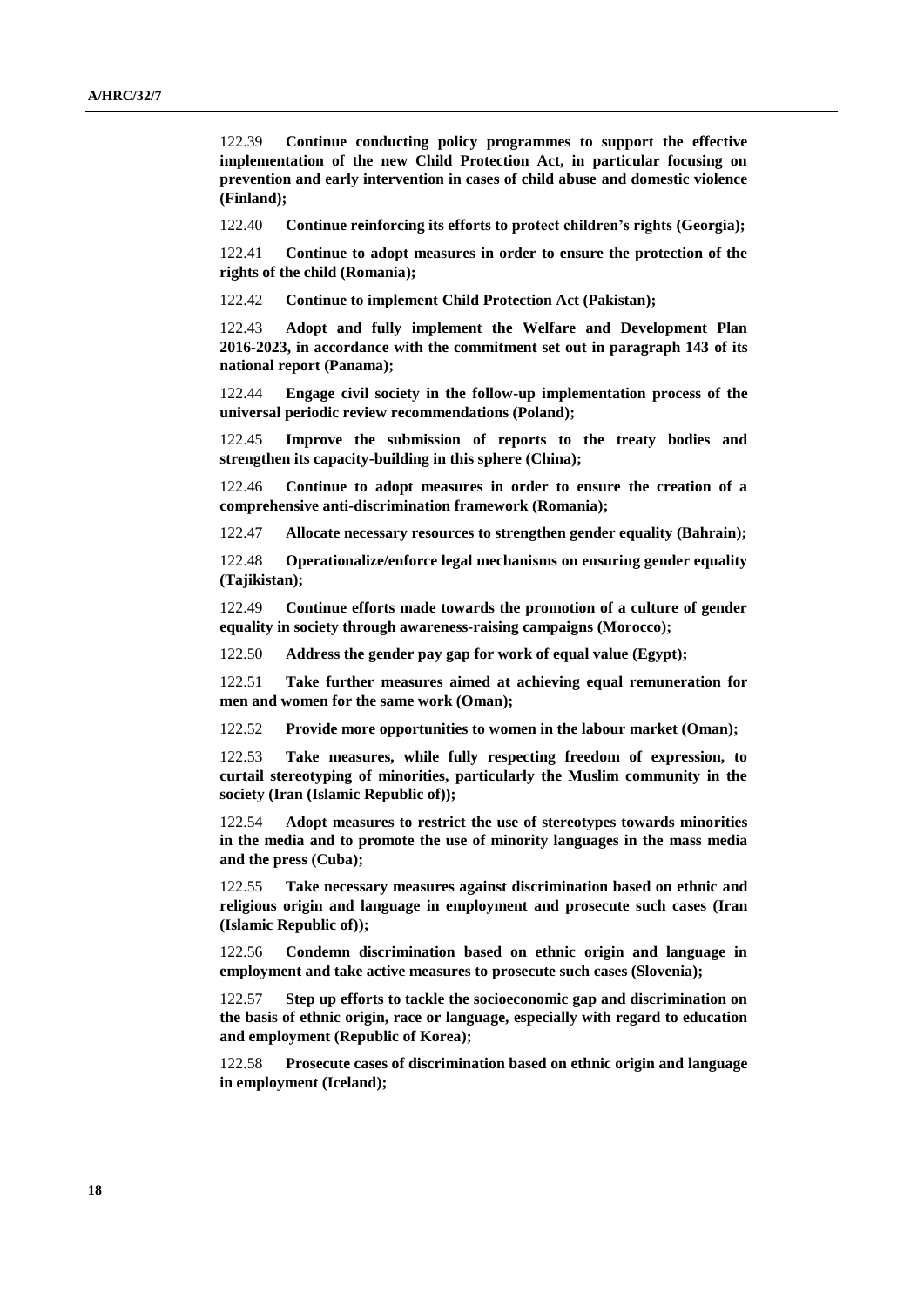122.39 **Continue conducting policy programmes to support the effective implementation of the new Child Protection Act, in particular focusing on prevention and early intervention in cases of child abuse and domestic violence (Finland);**

122.40 **Continue reinforcing its efforts to protect children's rights (Georgia);**

122.41 **Continue to adopt measures in order to ensure the protection of the rights of the child (Romania);**

122.42 **Continue to implement Child Protection Act (Pakistan);**

122.43 **Adopt and fully implement the Welfare and Development Plan 2016-2023, in accordance with the commitment set out in paragraph 143 of its national report (Panama);**

122.44 **Engage civil society in the follow-up implementation process of the universal periodic review recommendations (Poland);**

122.45 **Improve the submission of reports to the treaty bodies and strengthen its capacity-building in this sphere (China);**

122.46 **Continue to adopt measures in order to ensure the creation of a comprehensive anti-discrimination framework (Romania);**

122.47 **Allocate necessary resources to strengthen gender equality (Bahrain);**

122.48 **Operationalize/enforce legal mechanisms on ensuring gender equality (Tajikistan);**

122.49 **Continue efforts made towards the promotion of a culture of gender equality in society through awareness-raising campaigns (Morocco);**

122.50 **Address the gender pay gap for work of equal value (Egypt);**

122.51 **Take further measures aimed at achieving equal remuneration for men and women for the same work (Oman);**

122.52 **Provide more opportunities to women in the labour market (Oman);**

122.53 **Take measures, while fully respecting freedom of expression, to curtail stereotyping of minorities, particularly the Muslim community in the society (Iran (Islamic Republic of));**

122.54 **Adopt measures to restrict the use of stereotypes towards minorities in the media and to promote the use of minority languages in the mass media and the press (Cuba);**

122.55 **Take necessary measures against discrimination based on ethnic and religious origin and language in employment and prosecute such cases (Iran (Islamic Republic of));**

122.56 **Condemn discrimination based on ethnic origin and language in employment and take active measures to prosecute such cases (Slovenia);**

122.57 **Step up efforts to tackle the socioeconomic gap and discrimination on the basis of ethnic origin, race or language, especially with regard to education and employment (Republic of Korea);**

122.58 **Prosecute cases of discrimination based on ethnic origin and language in employment (Iceland);**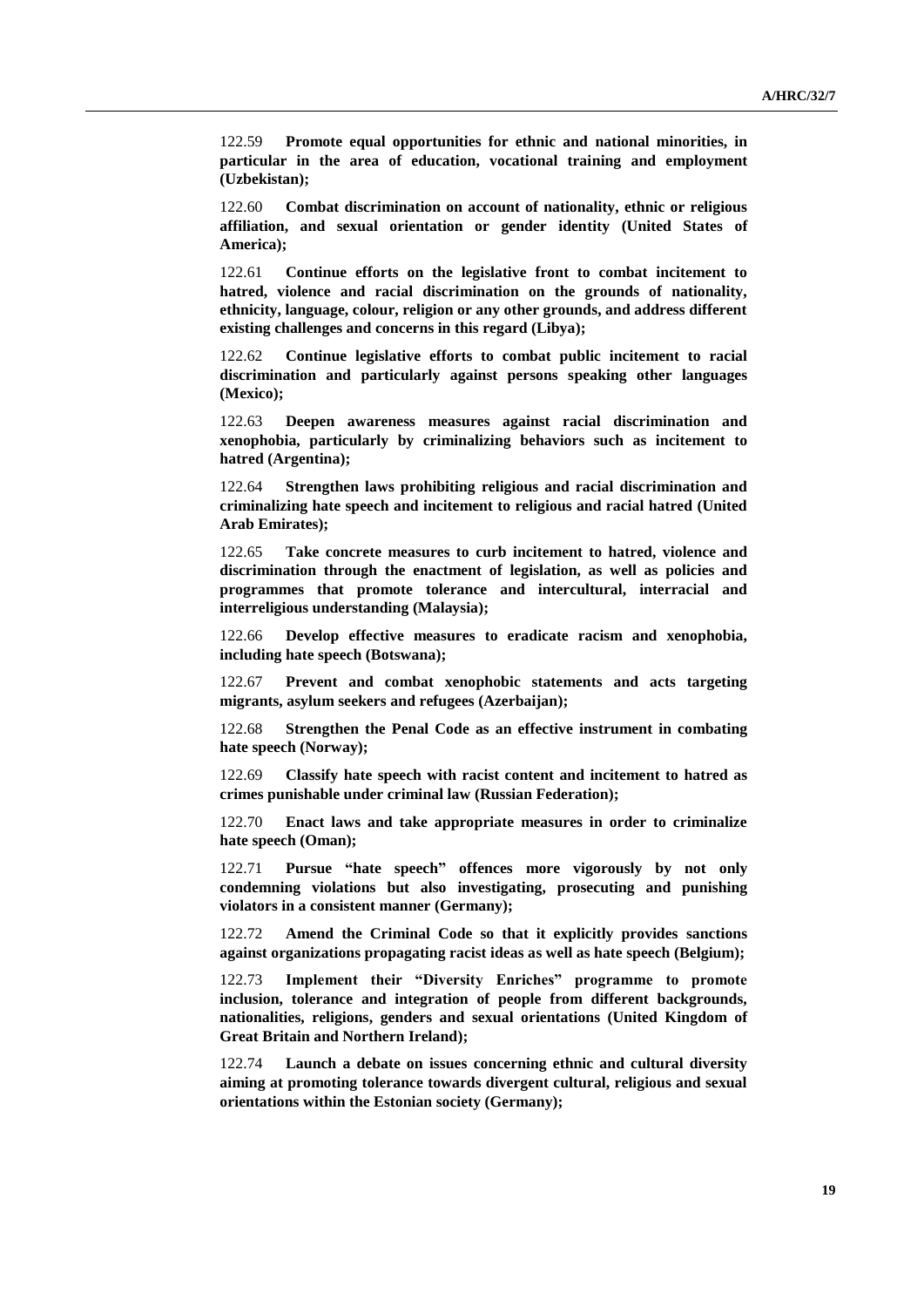122.59 **Promote equal opportunities for ethnic and national minorities, in particular in the area of education, vocational training and employment (Uzbekistan);**

122.60 **Combat discrimination on account of nationality, ethnic or religious affiliation, and sexual orientation or gender identity (United States of America);**

122.61 **Continue efforts on the legislative front to combat incitement to hatred, violence and racial discrimination on the grounds of nationality, ethnicity, language, colour, religion or any other grounds, and address different existing challenges and concerns in this regard (Libya);**

122.62 **Continue legislative efforts to combat public incitement to racial discrimination and particularly against persons speaking other languages (Mexico);**

122.63 **Deepen awareness measures against racial discrimination and xenophobia, particularly by criminalizing behaviors such as incitement to hatred (Argentina);**

122.64 **Strengthen laws prohibiting religious and racial discrimination and criminalizing hate speech and incitement to religious and racial hatred (United Arab Emirates);**

122.65 **Take concrete measures to curb incitement to hatred, violence and discrimination through the enactment of legislation, as well as policies and programmes that promote tolerance and intercultural, interracial and interreligious understanding (Malaysia);**

122.66 **Develop effective measures to eradicate racism and xenophobia, including hate speech (Botswana);**

122.67 **Prevent and combat xenophobic statements and acts targeting migrants, asylum seekers and refugees (Azerbaijan);**

122.68 **Strengthen the Penal Code as an effective instrument in combating hate speech (Norway);**

122.69 **Classify hate speech with racist content and incitement to hatred as crimes punishable under criminal law (Russian Federation);**

122.70 **Enact laws and take appropriate measures in order to criminalize hate speech (Oman);**

122.71 **Pursue "hate speech" offences more vigorously by not only condemning violations but also investigating, prosecuting and punishing violators in a consistent manner (Germany);**

122.72 **Amend the Criminal Code so that it explicitly provides sanctions against organizations propagating racist ideas as well as hate speech (Belgium);**

122.73 **Implement their "Diversity Enriches" programme to promote inclusion, tolerance and integration of people from different backgrounds, nationalities, religions, genders and sexual orientations (United Kingdom of Great Britain and Northern Ireland);**

122.74 **Launch a debate on issues concerning ethnic and cultural diversity aiming at promoting tolerance towards divergent cultural, religious and sexual orientations within the Estonian society (Germany);**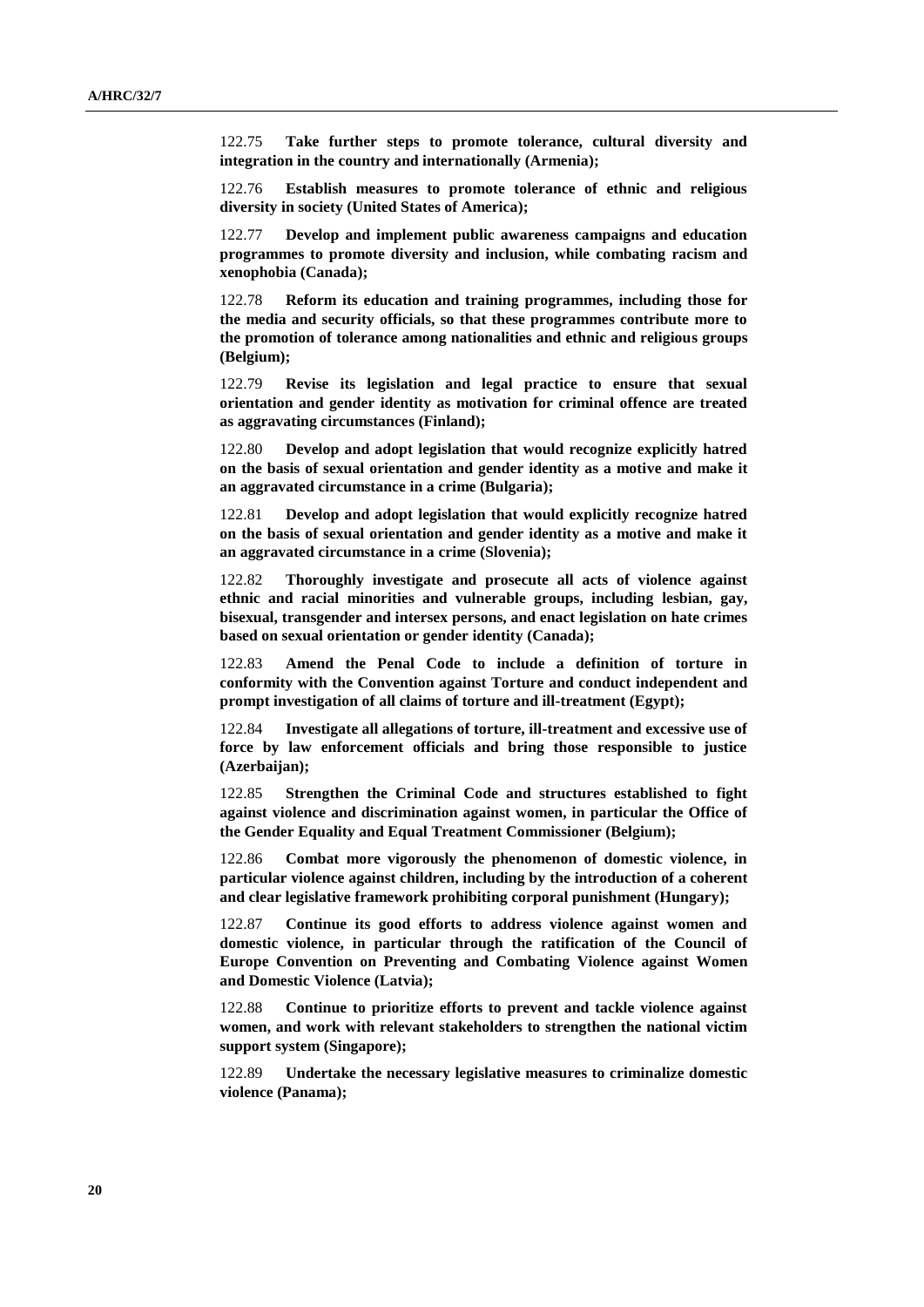122.75 **Take further steps to promote tolerance, cultural diversity and integration in the country and internationally (Armenia);**

122.76 **Establish measures to promote tolerance of ethnic and religious diversity in society (United States of America);**

122.77 **Develop and implement public awareness campaigns and education programmes to promote diversity and inclusion, while combating racism and xenophobia (Canada);**

122.78 **Reform its education and training programmes, including those for the media and security officials, so that these programmes contribute more to the promotion of tolerance among nationalities and ethnic and religious groups (Belgium);**

122.79 **Revise its legislation and legal practice to ensure that sexual orientation and gender identity as motivation for criminal offence are treated as aggravating circumstances (Finland);**

122.80 **Develop and adopt legislation that would recognize explicitly hatred on the basis of sexual orientation and gender identity as a motive and make it an aggravated circumstance in a crime (Bulgaria);**

122.81 **Develop and adopt legislation that would explicitly recognize hatred on the basis of sexual orientation and gender identity as a motive and make it an aggravated circumstance in a crime (Slovenia);**

122.82 **Thoroughly investigate and prosecute all acts of violence against ethnic and racial minorities and vulnerable groups, including lesbian, gay, bisexual, transgender and intersex persons, and enact legislation on hate crimes based on sexual orientation or gender identity (Canada);**

122.83 **Amend the Penal Code to include a definition of torture in conformity with the Convention against Torture and conduct independent and prompt investigation of all claims of torture and ill-treatment (Egypt);**

122.84 **Investigate all allegations of torture, ill-treatment and excessive use of force by law enforcement officials and bring those responsible to justice (Azerbaijan);**

122.85 **Strengthen the Criminal Code and structures established to fight against violence and discrimination against women, in particular the Office of the Gender Equality and Equal Treatment Commissioner (Belgium);**

122.86 **Combat more vigorously the phenomenon of domestic violence, in particular violence against children, including by the introduction of a coherent and clear legislative framework prohibiting corporal punishment (Hungary);**

122.87 **Continue its good efforts to address violence against women and domestic violence, in particular through the ratification of the Council of Europe Convention on Preventing and Combating Violence against Women and Domestic Violence (Latvia);**

122.88 **Continue to prioritize efforts to prevent and tackle violence against women, and work with relevant stakeholders to strengthen the national victim support system (Singapore);**

122.89 **Undertake the necessary legislative measures to criminalize domestic violence (Panama);**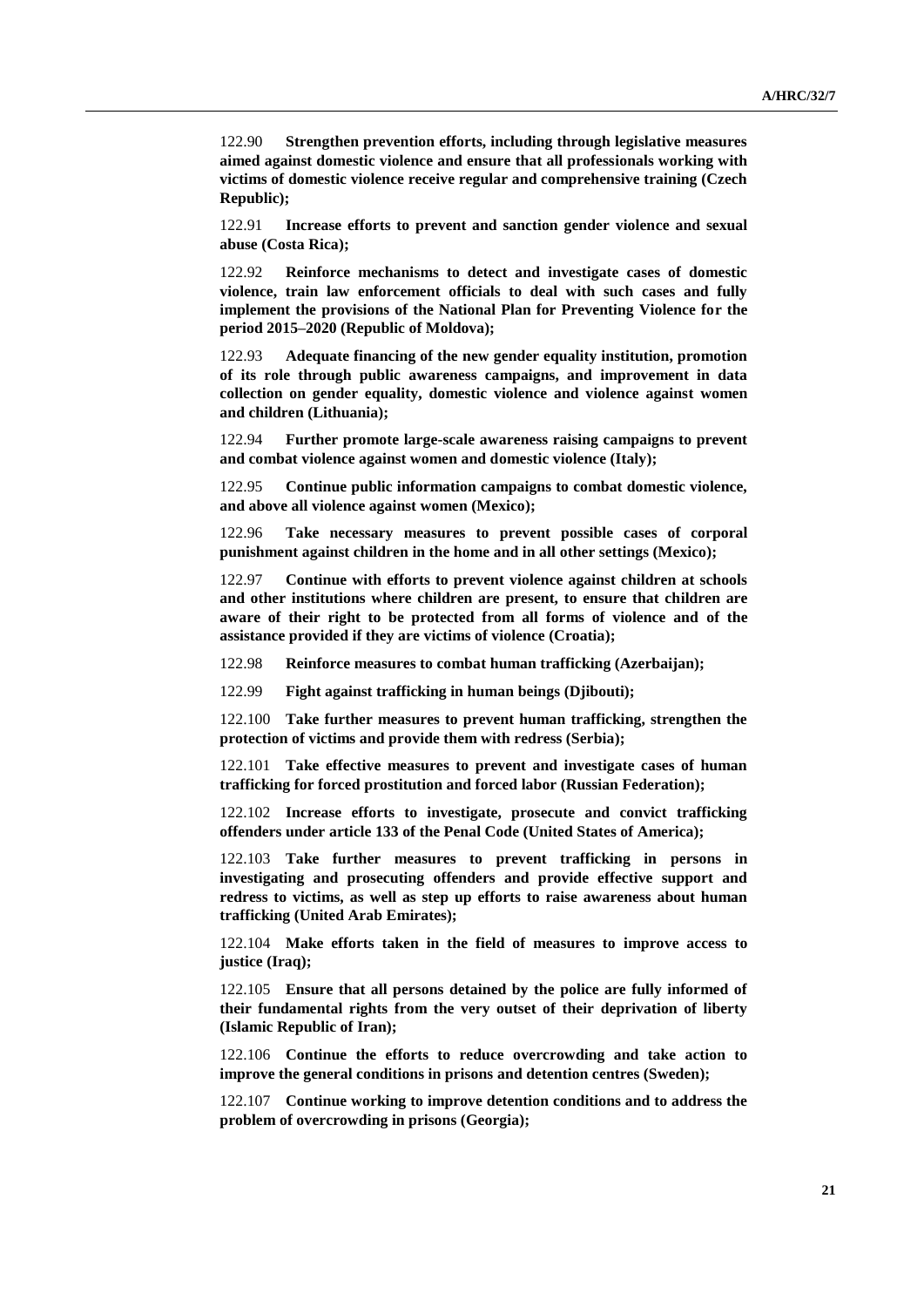122.90 **Strengthen prevention efforts, including through legislative measures aimed against domestic violence and ensure that all professionals working with victims of domestic violence receive regular and comprehensive training (Czech Republic);**

122.91 **Increase efforts to prevent and sanction gender violence and sexual abuse (Costa Rica);**

122.92 **Reinforce mechanisms to detect and investigate cases of domestic violence, train law enforcement officials to deal with such cases and fully implement the provisions of the National Plan for Preventing Violence for the period 2015–2020 (Republic of Moldova);**

122.93 **Adequate financing of the new gender equality institution, promotion of its role through public awareness campaigns, and improvement in data collection on gender equality, domestic violence and violence against women and children (Lithuania);**

122.94 **Further promote large-scale awareness raising campaigns to prevent and combat violence against women and domestic violence (Italy);**

122.95 **Continue public information campaigns to combat domestic violence, and above all violence against women (Mexico);**

122.96 **Take necessary measures to prevent possible cases of corporal punishment against children in the home and in all other settings (Mexico);**

122.97 **Continue with efforts to prevent violence against children at schools and other institutions where children are present, to ensure that children are aware of their right to be protected from all forms of violence and of the assistance provided if they are victims of violence (Croatia);**

122.98 **Reinforce measures to combat human trafficking (Azerbaijan);**

122.99 **Fight against trafficking in human beings (Djibouti);**

122.100 **Take further measures to prevent human trafficking, strengthen the protection of victims and provide them with redress (Serbia);**

122.101 **Take effective measures to prevent and investigate cases of human trafficking for forced prostitution and forced labor (Russian Federation);**

122.102 **Increase efforts to investigate, prosecute and convict trafficking offenders under article 133 of the Penal Code (United States of America);**

122.103 **Take further measures to prevent trafficking in persons in investigating and prosecuting offenders and provide effective support and redress to victims, as well as step up efforts to raise awareness about human trafficking (United Arab Emirates);**

122.104 **Make efforts taken in the field of measures to improve access to justice (Iraq);**

122.105 **Ensure that all persons detained by the police are fully informed of their fundamental rights from the very outset of their deprivation of liberty (Islamic Republic of Iran);**

122.106 **Continue the efforts to reduce overcrowding and take action to improve the general conditions in prisons and detention centres (Sweden);**

122.107 **Continue working to improve detention conditions and to address the problem of overcrowding in prisons (Georgia);**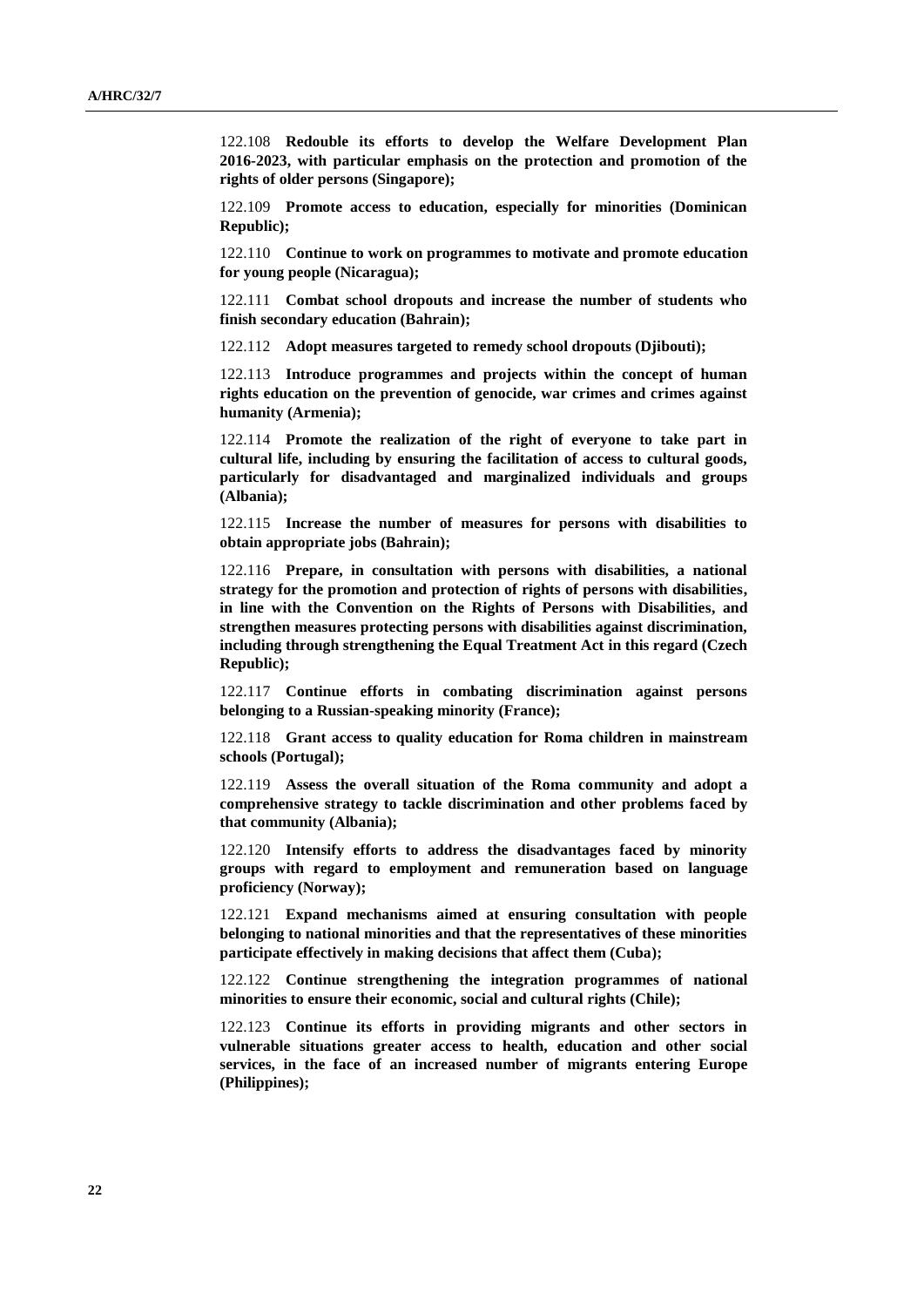122.108 **Redouble its efforts to develop the Welfare Development Plan 2016-2023, with particular emphasis on the protection and promotion of the rights of older persons (Singapore);**

122.109 **Promote access to education, especially for minorities (Dominican Republic);**

122.110 **Continue to work on programmes to motivate and promote education for young people (Nicaragua);**

122.111 **Combat school dropouts and increase the number of students who finish secondary education (Bahrain);**

122.112 **Adopt measures targeted to remedy school dropouts (Djibouti);**

122.113 **Introduce programmes and projects within the concept of human rights education on the prevention of genocide, war crimes and crimes against humanity (Armenia);**

122.114 **Promote the realization of the right of everyone to take part in cultural life, including by ensuring the facilitation of access to cultural goods, particularly for disadvantaged and marginalized individuals and groups (Albania);**

122.115 **Increase the number of measures for persons with disabilities to obtain appropriate jobs (Bahrain);**

122.116 **Prepare, in consultation with persons with disabilities, a national strategy for the promotion and protection of rights of persons with disabilities, in line with the Convention on the Rights of Persons with Disabilities, and strengthen measures protecting persons with disabilities against discrimination, including through strengthening the Equal Treatment Act in this regard (Czech Republic);**

122.117 **Continue efforts in combating discrimination against persons belonging to a Russian-speaking minority (France);**

122.118 **Grant access to quality education for Roma children in mainstream schools (Portugal);**

122.119 **Assess the overall situation of the Roma community and adopt a comprehensive strategy to tackle discrimination and other problems faced by that community (Albania);**

122.120 **Intensify efforts to address the disadvantages faced by minority groups with regard to employment and remuneration based on language proficiency (Norway);**

122.121 **Expand mechanisms aimed at ensuring consultation with people belonging to national minorities and that the representatives of these minorities participate effectively in making decisions that affect them (Cuba);**

122.122 **Continue strengthening the integration programmes of national minorities to ensure their economic, social and cultural rights (Chile);**

122.123 **Continue its efforts in providing migrants and other sectors in vulnerable situations greater access to health, education and other social services, in the face of an increased number of migrants entering Europe (Philippines);**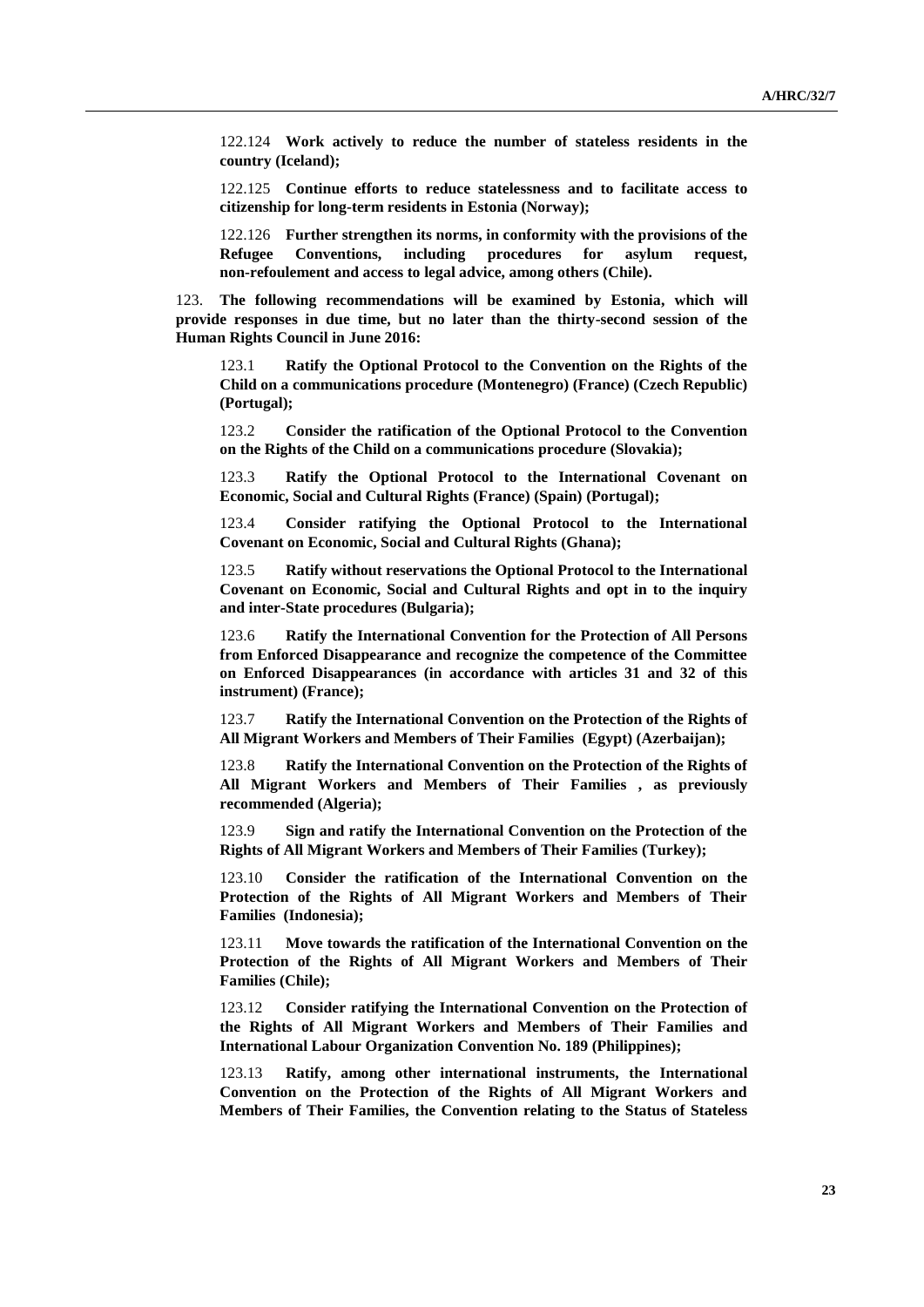122.124 **Work actively to reduce the number of stateless residents in the country (Iceland);**

122.125 **Continue efforts to reduce statelessness and to facilitate access to citizenship for long-term residents in Estonia (Norway);**

122.126 **Further strengthen its norms, in conformity with the provisions of the Refugee Conventions, including procedures for asylum request, non-refoulement and access to legal advice, among others (Chile).**

123. **The following recommendations will be examined by Estonia, which will provide responses in due time, but no later than the thirty-second session of the Human Rights Council in June 2016:**

123.1 **Ratify the Optional Protocol to the Convention on the Rights of the Child on a communications procedure (Montenegro) (France) (Czech Republic) (Portugal);**

123.2 **Consider the ratification of the Optional Protocol to the Convention on the Rights of the Child on a communications procedure (Slovakia);**

123.3 **Ratify the Optional Protocol to the International Covenant on Economic, Social and Cultural Rights (France) (Spain) (Portugal);**

123.4 **Consider ratifying the Optional Protocol to the International Covenant on Economic, Social and Cultural Rights (Ghana);**

123.5 **Ratify without reservations the Optional Protocol to the International Covenant on Economic, Social and Cultural Rights and opt in to the inquiry and inter-State procedures (Bulgaria);**

123.6 **Ratify the International Convention for the Protection of All Persons from Enforced Disappearance and recognize the competence of the Committee on Enforced Disappearances (in accordance with articles 31 and 32 of this instrument) (France);**

123.7 **Ratify the International Convention on the Protection of the Rights of All Migrant Workers and Members of Their Families (Egypt) (Azerbaijan);**

123.8 **Ratify the International Convention on the Protection of the Rights of All Migrant Workers and Members of Their Families , as previously recommended (Algeria);**

123.9 **Sign and ratify the International Convention on the Protection of the Rights of All Migrant Workers and Members of Their Families (Turkey);**

123.10 **Consider the ratification of the International Convention on the Protection of the Rights of All Migrant Workers and Members of Their Families (Indonesia);**

123.11 **Move towards the ratification of the International Convention on the Protection of the Rights of All Migrant Workers and Members of Their Families (Chile);**

123.12 **Consider ratifying the International Convention on the Protection of the Rights of All Migrant Workers and Members of Their Families and International Labour Organization Convention No. 189 (Philippines);**

123.13 **Ratify, among other international instruments, the International Convention on the Protection of the Rights of All Migrant Workers and Members of Their Families, the Convention relating to the Status of Stateless**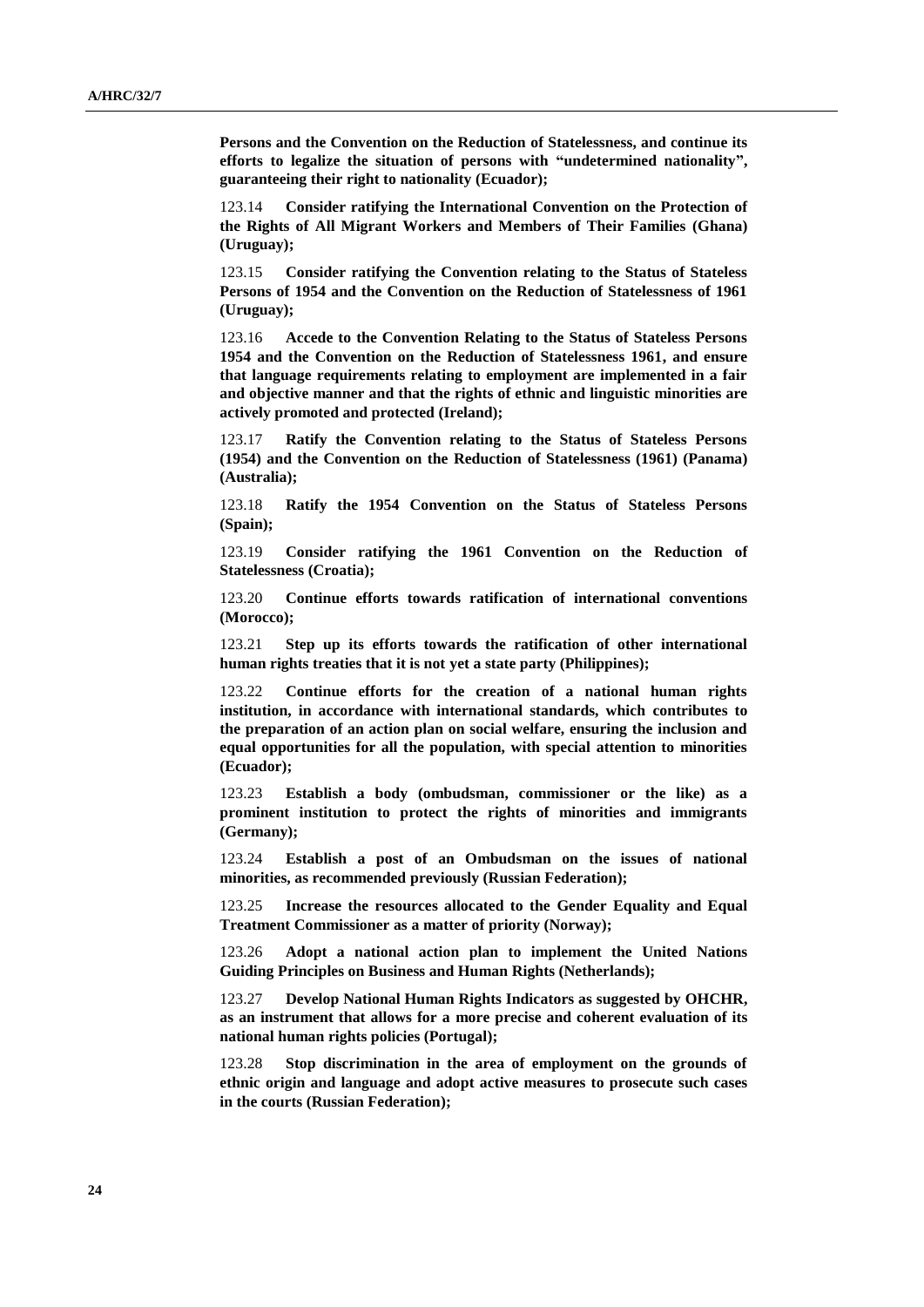**Persons and the Convention on the Reduction of Statelessness, and continue its efforts to legalize the situation of persons with "undetermined nationality", guaranteeing their right to nationality (Ecuador);**

123.14 **Consider ratifying the International Convention on the Protection of the Rights of All Migrant Workers and Members of Their Families (Ghana) (Uruguay);**

123.15 **Consider ratifying the Convention relating to the Status of Stateless Persons of 1954 and the Convention on the Reduction of Statelessness of 1961 (Uruguay);**

123.16 **Accede to the Convention Relating to the Status of Stateless Persons 1954 and the Convention on the Reduction of Statelessness 1961, and ensure that language requirements relating to employment are implemented in a fair and objective manner and that the rights of ethnic and linguistic minorities are actively promoted and protected (Ireland);**

123.17 **Ratify the Convention relating to the Status of Stateless Persons (1954) and the Convention on the Reduction of Statelessness (1961) (Panama) (Australia);**

123.18 **Ratify the 1954 Convention on the Status of Stateless Persons (Spain);**

123.19 **Consider ratifying the 1961 Convention on the Reduction of Statelessness (Croatia);**

123.20 **Continue efforts towards ratification of international conventions (Morocco);**

123.21 **Step up its efforts towards the ratification of other international human rights treaties that it is not yet a state party (Philippines);**

123.22 **Continue efforts for the creation of a national human rights institution, in accordance with international standards, which contributes to the preparation of an action plan on social welfare, ensuring the inclusion and equal opportunities for all the population, with special attention to minorities (Ecuador);**

123.23 **Establish a body (ombudsman, commissioner or the like) as a prominent institution to protect the rights of minorities and immigrants (Germany);**

123.24 **Establish a post of an Ombudsman on the issues of national minorities, as recommended previously (Russian Federation);**

123.25 **Increase the resources allocated to the Gender Equality and Equal Treatment Commissioner as a matter of priority (Norway);**

123.26 **Adopt a national action plan to implement the United Nations Guiding Principles on Business and Human Rights (Netherlands);**

123.27 **Develop National Human Rights Indicators as suggested by OHCHR, as an instrument that allows for a more precise and coherent evaluation of its national human rights policies (Portugal);**

123.28 **Stop discrimination in the area of employment on the grounds of ethnic origin and language and adopt active measures to prosecute such cases in the courts (Russian Federation);**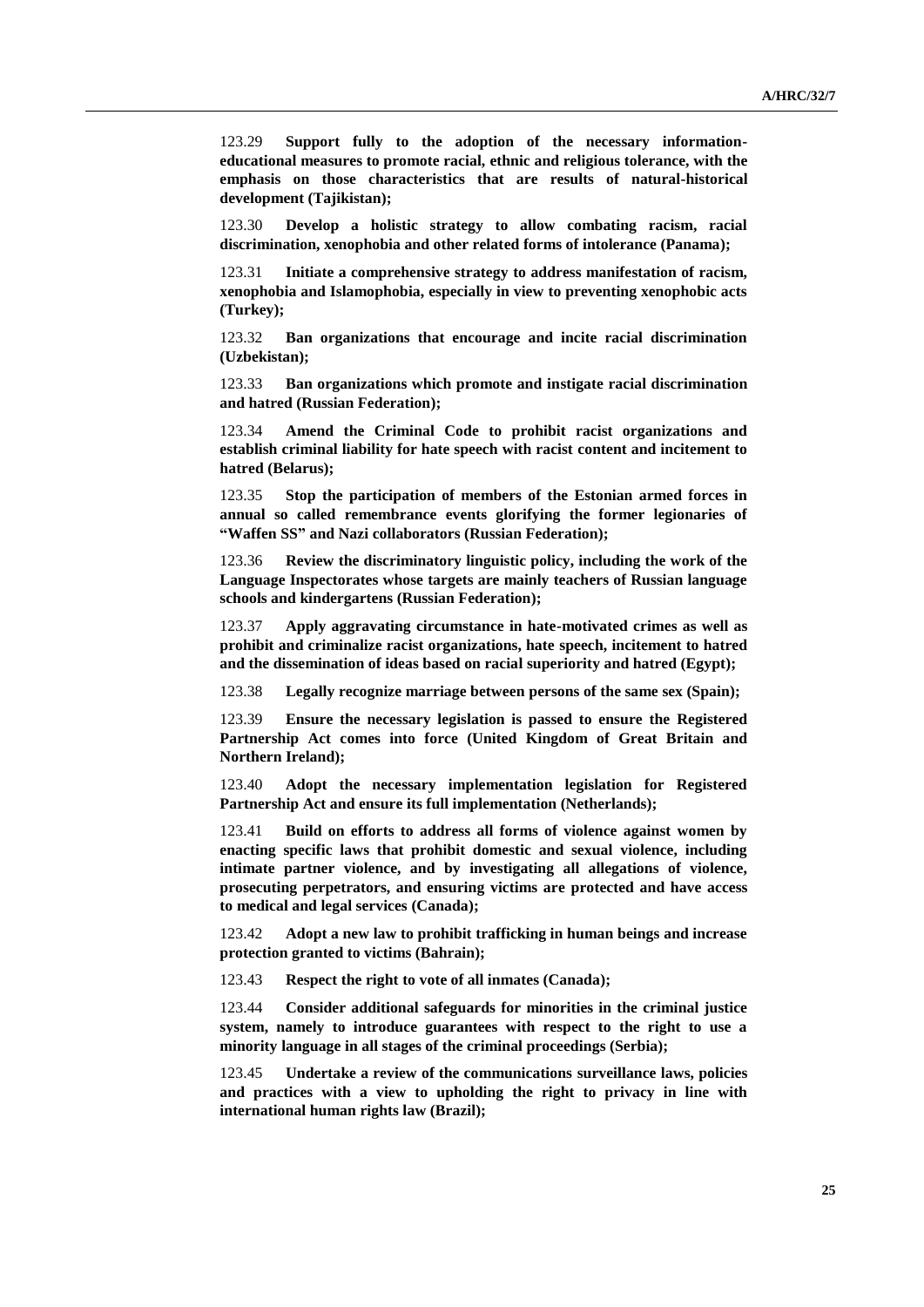123.29 **Support fully to the adoption of the necessary informationeducational measures to promote racial, ethnic and religious tolerance, with the emphasis on those characteristics that are results of natural-historical development (Tajikistan);**

123.30 **Develop a holistic strategy to allow combating racism, racial discrimination, xenophobia and other related forms of intolerance (Panama);**

123.31 **Initiate a comprehensive strategy to address manifestation of racism, xenophobia and Islamophobia, especially in view to preventing xenophobic acts (Turkey);**

123.32 **Ban organizations that encourage and incite racial discrimination (Uzbekistan);**

123.33 **Ban organizations which promote and instigate racial discrimination and hatred (Russian Federation);**

123.34 **Amend the Criminal Code to prohibit racist organizations and establish criminal liability for hate speech with racist content and incitement to hatred (Belarus);**

123.35 **Stop the participation of members of the Estonian armed forces in annual so called remembrance events glorifying the former legionaries of "Waffen SS" and Nazi collaborators (Russian Federation);**

123.36 **Review the discriminatory linguistic policy, including the work of the Language Inspectorates whose targets are mainly teachers of Russian language schools and kindergartens (Russian Federation);**

123.37 **Apply aggravating circumstance in hate-motivated crimes as well as prohibit and criminalize racist organizations, hate speech, incitement to hatred and the dissemination of ideas based on racial superiority and hatred (Egypt);**

123.38 **Legally recognize marriage between persons of the same sex (Spain);**

123.39 **Ensure the necessary legislation is passed to ensure the Registered Partnership Act comes into force (United Kingdom of Great Britain and Northern Ireland);**

123.40 **Adopt the necessary implementation legislation for Registered Partnership Act and ensure its full implementation (Netherlands);**

123.41 **Build on efforts to address all forms of violence against women by enacting specific laws that prohibit domestic and sexual violence, including intimate partner violence, and by investigating all allegations of violence, prosecuting perpetrators, and ensuring victims are protected and have access to medical and legal services (Canada);**

123.42 **Adopt a new law to prohibit trafficking in human beings and increase protection granted to victims (Bahrain);**

123.43 **Respect the right to vote of all inmates (Canada);**

123.44 **Consider additional safeguards for minorities in the criminal justice system, namely to introduce guarantees with respect to the right to use a minority language in all stages of the criminal proceedings (Serbia);**

123.45 **Undertake a review of the communications surveillance laws, policies and practices with a view to upholding the right to privacy in line with international human rights law (Brazil);**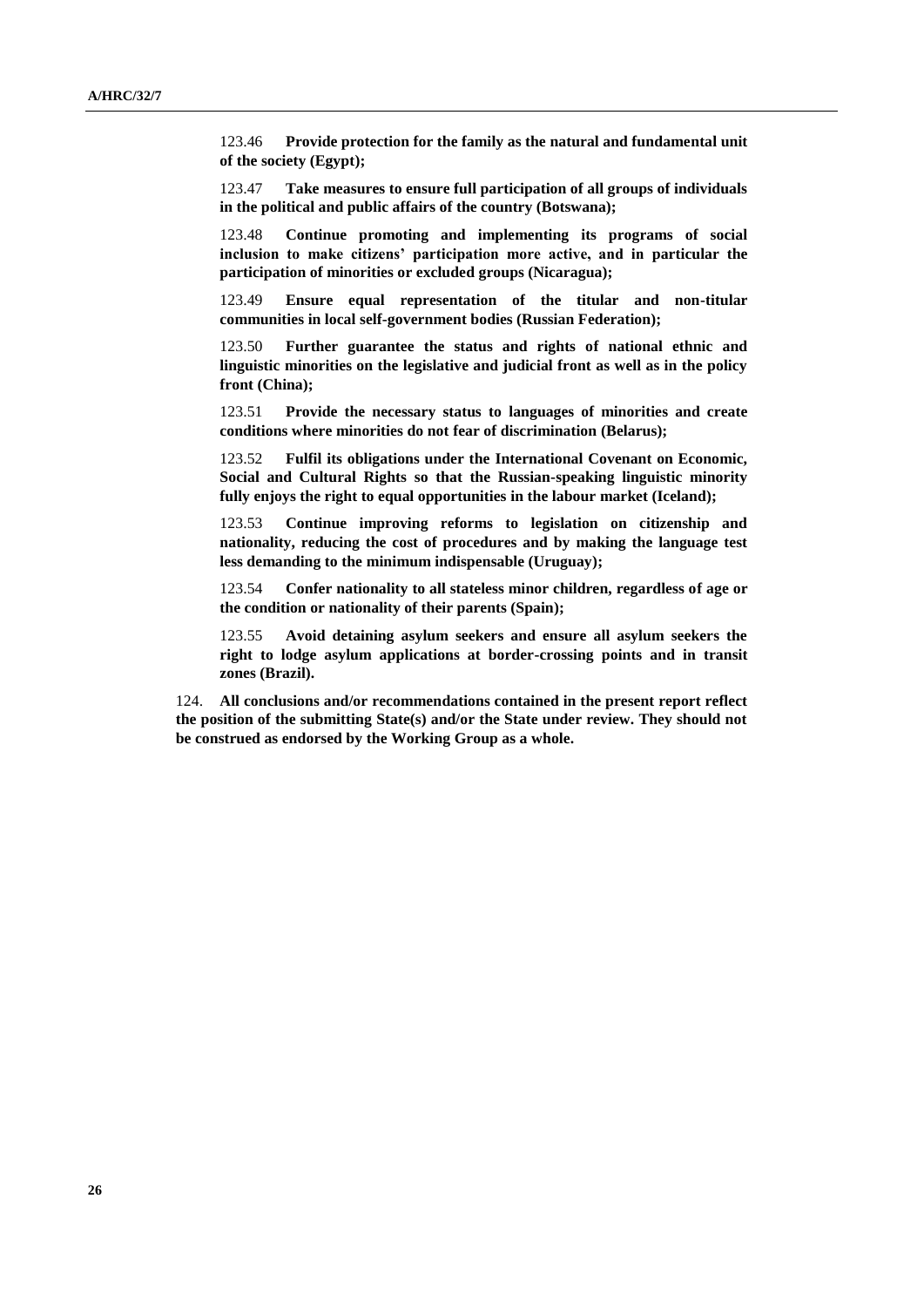123.46 **Provide protection for the family as the natural and fundamental unit of the society (Egypt);**

123.47 **Take measures to ensure full participation of all groups of individuals in the political and public affairs of the country (Botswana);**

123.48 **Continue promoting and implementing its programs of social inclusion to make citizens' participation more active, and in particular the participation of minorities or excluded groups (Nicaragua);**

123.49 **Ensure equal representation of the titular and non-titular communities in local self-government bodies (Russian Federation);**

123.50 **Further guarantee the status and rights of national ethnic and linguistic minorities on the legislative and judicial front as well as in the policy front (China);**

123.51 **Provide the necessary status to languages of minorities and create conditions where minorities do not fear of discrimination (Belarus);**

123.52 **Fulfil its obligations under the International Covenant on Economic, Social and Cultural Rights so that the Russian-speaking linguistic minority fully enjoys the right to equal opportunities in the labour market (Iceland);**

123.53 **Continue improving reforms to legislation on citizenship and nationality, reducing the cost of procedures and by making the language test less demanding to the minimum indispensable (Uruguay);**

123.54 **Confer nationality to all stateless minor children, regardless of age or the condition or nationality of their parents (Spain);**

123.55 **Avoid detaining asylum seekers and ensure all asylum seekers the right to lodge asylum applications at border-crossing points and in transit zones (Brazil).**

124. **All conclusions and/or recommendations contained in the present report reflect the position of the submitting State(s) and/or the State under review. They should not be construed as endorsed by the Working Group as a whole.**